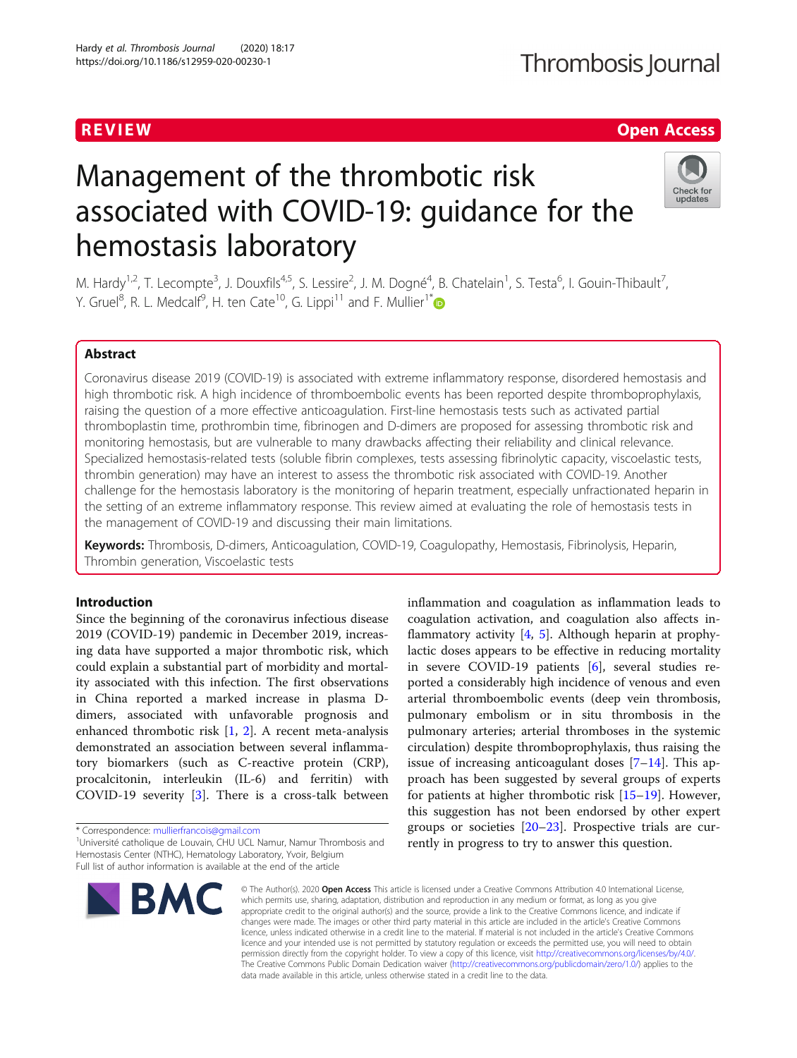# R EVI EW Open Access

# Management of the thrombotic risk associated with COVID-19: guidance for the hemostasis laboratory



M. Hardy<sup>1,2</sup>, T. Lecompte<sup>3</sup>, J. Douxfils<sup>4,5</sup>, S. Lessire<sup>2</sup>, J. M. Dogné<sup>4</sup>, B. Chatelain<sup>1</sup>, S. Testa<sup>6</sup>, I. Gouin-Thibault<sup>7</sup> , Y. Gruel<sup>8</sup>, R. L. Medcalf<sup>9</sup>, H. ten Cate<sup>10</sup>, G. Lippi<sup>11</sup> and F. Mullier<sup>1\*</sup>

# Abstract

Coronavirus disease 2019 (COVID-19) is associated with extreme inflammatory response, disordered hemostasis and high thrombotic risk. A high incidence of thromboembolic events has been reported despite thromboprophylaxis, raising the question of a more effective anticoagulation. First-line hemostasis tests such as activated partial thromboplastin time, prothrombin time, fibrinogen and D-dimers are proposed for assessing thrombotic risk and monitoring hemostasis, but are vulnerable to many drawbacks affecting their reliability and clinical relevance. Specialized hemostasis-related tests (soluble fibrin complexes, tests assessing fibrinolytic capacity, viscoelastic tests, thrombin generation) may have an interest to assess the thrombotic risk associated with COVID-19. Another challenge for the hemostasis laboratory is the monitoring of heparin treatment, especially unfractionated heparin in the setting of an extreme inflammatory response. This review aimed at evaluating the role of hemostasis tests in the management of COVID-19 and discussing their main limitations.

Keywords: Thrombosis, D-dimers, Anticoagulation, COVID-19, Coagulopathy, Hemostasis, Fibrinolysis, Heparin, Thrombin generation, Viscoelastic tests

# Introduction

Since the beginning of the coronavirus infectious disease 2019 (COVID-19) pandemic in December 2019, increasing data have supported a major thrombotic risk, which could explain a substantial part of morbidity and mortality associated with this infection. The first observations in China reported a marked increase in plasma Ddimers, associated with unfavorable prognosis and enhanced thrombotic risk [[1,](#page-11-0) [2\]](#page-11-0). A recent meta-analysis demonstrated an association between several inflammatory biomarkers (such as C-reactive protein (CRP), procalcitonin, interleukin (IL-6) and ferritin) with COVID-19 severity [\[3\]](#page-11-0). There is a cross-talk between

\* Correspondence: [mullierfrancois@gmail.com](mailto:mullierfrancois@gmail.com) <sup>1</sup>

<sup>1</sup>Université catholique de Louvain, CHU UCL Namur, Namur Thrombosis and Hemostasis Center (NTHC), Hematology Laboratory, Yvoir, Belgium Full list of author information is available at the end of the article



inflammation and coagulation as inflammation leads to coagulation activation, and coagulation also affects inflammatory activity  $[4, 5]$  $[4, 5]$  $[4, 5]$  $[4, 5]$ . Although heparin at prophylactic doses appears to be effective in reducing mortality in severe COVID-19 patients [\[6](#page-11-0)], several studies reported a considerably high incidence of venous and even arterial thromboembolic events (deep vein thrombosis, pulmonary embolism or in situ thrombosis in the pulmonary arteries; arterial thromboses in the systemic circulation) despite thromboprophylaxis, thus raising the issue of increasing anticoagulant doses  $[7-14]$  $[7-14]$  $[7-14]$  $[7-14]$  $[7-14]$ . This approach has been suggested by several groups of experts for patients at higher thrombotic risk [[15](#page-11-0)–[19](#page-11-0)]. However, this suggestion has not been endorsed by other expert groups or societies [[20](#page-11-0)–[23](#page-11-0)]. Prospective trials are currently in progress to try to answer this question.

© The Author(s), 2020 **Open Access** This article is licensed under a Creative Commons Attribution 4.0 International License, which permits use, sharing, adaptation, distribution and reproduction in any medium or format, as long as you give appropriate credit to the original author(s) and the source, provide a link to the Creative Commons licence, and indicate if changes were made. The images or other third party material in this article are included in the article's Creative Commons licence, unless indicated otherwise in a credit line to the material. If material is not included in the article's Creative Commons licence and your intended use is not permitted by statutory regulation or exceeds the permitted use, you will need to obtain permission directly from the copyright holder. To view a copy of this licence, visit [http://creativecommons.org/licenses/by/4.0/.](http://creativecommons.org/licenses/by/4.0/) The Creative Commons Public Domain Dedication waiver [\(http://creativecommons.org/publicdomain/zero/1.0/](http://creativecommons.org/publicdomain/zero/1.0/)) applies to the data made available in this article, unless otherwise stated in a credit line to the data.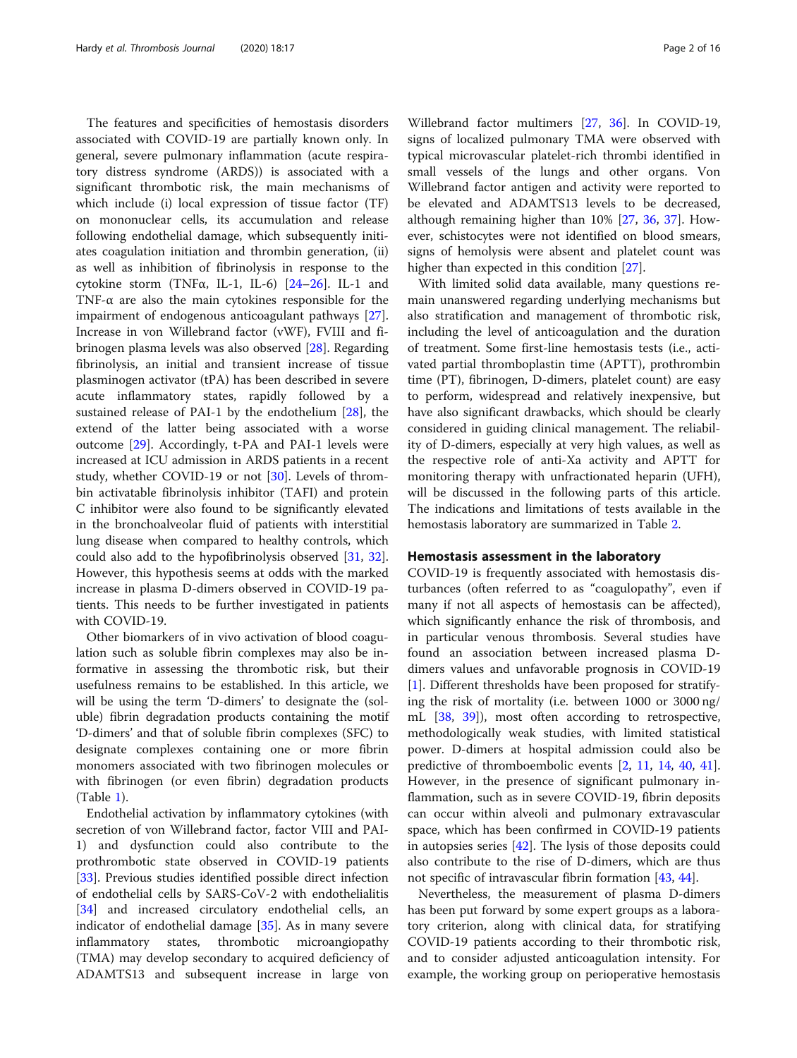The features and specificities of hemostasis disorders associated with COVID-19 are partially known only. In general, severe pulmonary inflammation (acute respiratory distress syndrome (ARDS)) is associated with a significant thrombotic risk, the main mechanisms of which include (i) local expression of tissue factor (TF) on mononuclear cells, its accumulation and release following endothelial damage, which subsequently initiates coagulation initiation and thrombin generation, (ii) as well as inhibition of fibrinolysis in response to the cytokine storm (TNF $\alpha$ , IL-1, IL-6) [\[24](#page-11-0)–[26\]](#page-11-0). IL-1 and TNF- $\alpha$  are also the main cytokines responsible for the impairment of endogenous anticoagulant pathways [\[27](#page-11-0)]. Increase in von Willebrand factor (vWF), FVIII and fibrinogen plasma levels was also observed [\[28](#page-11-0)]. Regarding fibrinolysis, an initial and transient increase of tissue plasminogen activator (tPA) has been described in severe acute inflammatory states, rapidly followed by a sustained release of PAI-1 by the endothelium [[28](#page-11-0)], the extend of the latter being associated with a worse outcome [[29](#page-11-0)]. Accordingly, t-PA and PAI-1 levels were increased at ICU admission in ARDS patients in a recent study, whether COVID-19 or not [\[30](#page-12-0)]. Levels of thrombin activatable fibrinolysis inhibitor (TAFI) and protein C inhibitor were also found to be significantly elevated in the bronchoalveolar fluid of patients with interstitial lung disease when compared to healthy controls, which could also add to the hypofibrinolysis observed [[31,](#page-12-0) [32](#page-12-0)]. However, this hypothesis seems at odds with the marked increase in plasma D-dimers observed in COVID-19 patients. This needs to be further investigated in patients with COVID-19.

Other biomarkers of in vivo activation of blood coagulation such as soluble fibrin complexes may also be informative in assessing the thrombotic risk, but their usefulness remains to be established. In this article, we will be using the term 'D-dimers' to designate the (soluble) fibrin degradation products containing the motif 'D-dimers' and that of soluble fibrin complexes (SFC) to designate complexes containing one or more fibrin monomers associated with two fibrinogen molecules or with fibrinogen (or even fibrin) degradation products (Table [1\)](#page-2-0).

Endothelial activation by inflammatory cytokines (with secretion of von Willebrand factor, factor VIII and PAI-1) and dysfunction could also contribute to the prothrombotic state observed in COVID-19 patients [[33\]](#page-12-0). Previous studies identified possible direct infection of endothelial cells by SARS-CoV-2 with endothelialitis [[34\]](#page-12-0) and increased circulatory endothelial cells, an indicator of endothelial damage [[35\]](#page-12-0). As in many severe inflammatory states, thrombotic microangiopathy (TMA) may develop secondary to acquired deficiency of ADAMTS13 and subsequent increase in large von

Willebrand factor multimers [\[27](#page-11-0), [36](#page-12-0)]. In COVID-19, signs of localized pulmonary TMA were observed with typical microvascular platelet-rich thrombi identified in small vessels of the lungs and other organs. Von Willebrand factor antigen and activity were reported to be elevated and ADAMTS13 levels to be decreased, although remaining higher than 10% [\[27,](#page-11-0) [36,](#page-12-0) [37](#page-12-0)]. However, schistocytes were not identified on blood smears, signs of hemolysis were absent and platelet count was higher than expected in this condition [[27](#page-11-0)].

With limited solid data available, many questions remain unanswered regarding underlying mechanisms but also stratification and management of thrombotic risk, including the level of anticoagulation and the duration of treatment. Some first-line hemostasis tests (i.e., activated partial thromboplastin time (APTT), prothrombin time (PT), fibrinogen, D-dimers, platelet count) are easy to perform, widespread and relatively inexpensive, but have also significant drawbacks, which should be clearly considered in guiding clinical management. The reliability of D-dimers, especially at very high values, as well as the respective role of anti-Xa activity and APTT for monitoring therapy with unfractionated heparin (UFH), will be discussed in the following parts of this article. The indications and limitations of tests available in the hemostasis laboratory are summarized in Table [2.](#page-3-0)

### Hemostasis assessment in the laboratory

COVID-19 is frequently associated with hemostasis disturbances (often referred to as "coagulopathy", even if many if not all aspects of hemostasis can be affected), which significantly enhance the risk of thrombosis, and in particular venous thrombosis. Several studies have found an association between increased plasma Ddimers values and unfavorable prognosis in COVID-19 [[1\]](#page-11-0). Different thresholds have been proposed for stratifying the risk of mortality (i.e. between 1000 or 3000 ng/ mL [[38](#page-12-0), [39\]](#page-12-0)), most often according to retrospective, methodologically weak studies, with limited statistical power. D-dimers at hospital admission could also be predictive of thromboembolic events [\[2,](#page-11-0) [11,](#page-11-0) [14,](#page-11-0) [40](#page-12-0), [41](#page-12-0)]. However, in the presence of significant pulmonary inflammation, such as in severe COVID-19, fibrin deposits can occur within alveoli and pulmonary extravascular space, which has been confirmed in COVID-19 patients in autopsies series [[42](#page-12-0)]. The lysis of those deposits could also contribute to the rise of D-dimers, which are thus not specific of intravascular fibrin formation [\[43](#page-12-0), [44](#page-12-0)].

Nevertheless, the measurement of plasma D-dimers has been put forward by some expert groups as a laboratory criterion, along with clinical data, for stratifying COVID-19 patients according to their thrombotic risk, and to consider adjusted anticoagulation intensity. For example, the working group on perioperative hemostasis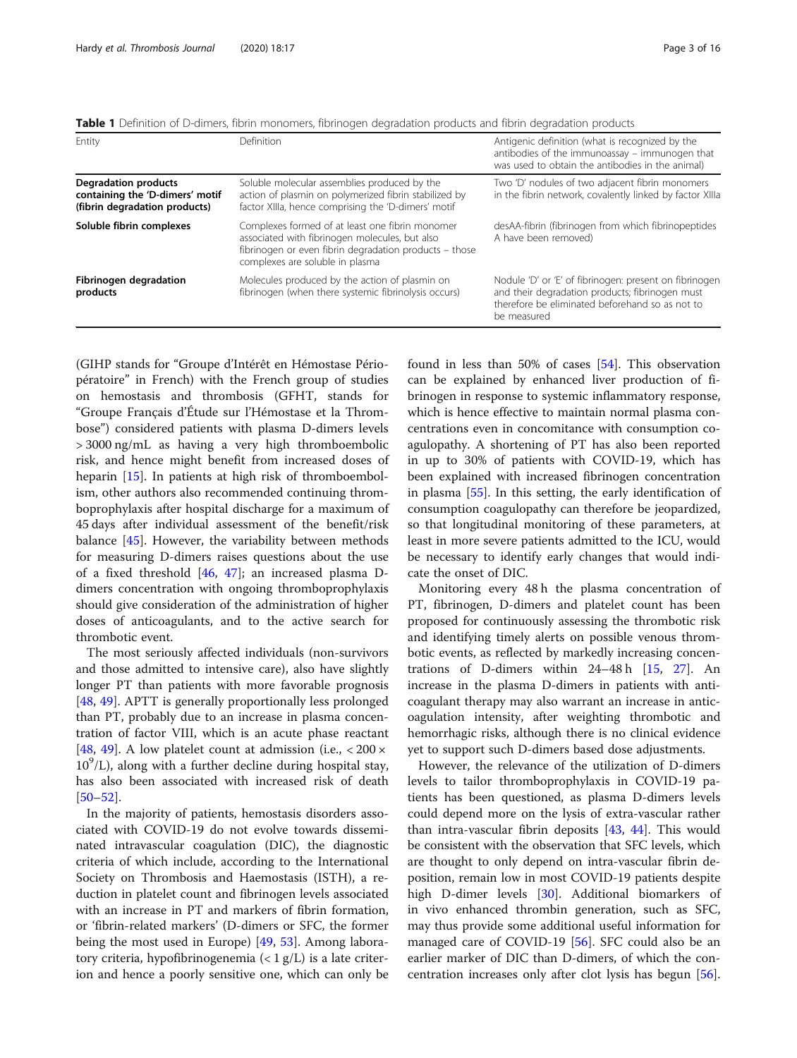| Entity                                                                                          | Definition                                                                                                                                                                                     | Antigenic definition (what is recognized by the<br>antibodies of the immunoassay - immunogen that<br>was used to obtain the antibodies in the animal)                       |
|-------------------------------------------------------------------------------------------------|------------------------------------------------------------------------------------------------------------------------------------------------------------------------------------------------|-----------------------------------------------------------------------------------------------------------------------------------------------------------------------------|
| <b>Degradation products</b><br>containing the 'D-dimers' motif<br>(fibrin degradation products) | Soluble molecular assemblies produced by the<br>action of plasmin on polymerized fibrin stabilized by<br>factor XIIIa, hence comprising the 'D-dimers' motif                                   | Two 'D' nodules of two adjacent fibrin monomers<br>in the fibrin network, covalently linked by factor XIIIa                                                                 |
| Soluble fibrin complexes                                                                        | Complexes formed of at least one fibrin monomer<br>associated with fibrinogen molecules, but also<br>fibrinogen or even fibrin degradation products - those<br>complexes are soluble in plasma | desAA-fibrin (fibrinogen from which fibrinopeptides<br>A have been removed)                                                                                                 |
| Fibrinogen degradation<br>products                                                              | Molecules produced by the action of plasmin on<br>fibrinogen (when there systemic fibrinolysis occurs)                                                                                         | Nodule 'D' or 'E' of fibrinogen: present on fibrinogen<br>and their degradation products; fibrinogen must<br>therefore be eliminated beforehand so as not to<br>be measured |

<span id="page-2-0"></span>Table 1 Definition of D-dimers, fibrin monomers, fibrinogen degradation products and fibrin degradation products

(GIHP stands for "Groupe d'Intérêt en Hémostase Périopératoire" in French) with the French group of studies on hemostasis and thrombosis (GFHT, stands for "Groupe Français d'Étude sur l'Hémostase et la Thrombose") considered patients with plasma D-dimers levels > 3000 ng/mL as having a very high thromboembolic risk, and hence might benefit from increased doses of heparin [[15](#page-11-0)]. In patients at high risk of thromboembolism, other authors also recommended continuing thromboprophylaxis after hospital discharge for a maximum of 45 days after individual assessment of the benefit/risk balance [[45](#page-12-0)]. However, the variability between methods for measuring D-dimers raises questions about the use of a fixed threshold [[46,](#page-12-0) [47\]](#page-12-0); an increased plasma Ddimers concentration with ongoing thromboprophylaxis should give consideration of the administration of higher doses of anticoagulants, and to the active search for thrombotic event.

The most seriously affected individuals (non-survivors and those admitted to intensive care), also have slightly longer PT than patients with more favorable prognosis [[48,](#page-12-0) [49\]](#page-12-0). APTT is generally proportionally less prolonged than PT, probably due to an increase in plasma concentration of factor VIII, which is an acute phase reactant [[48,](#page-12-0) [49](#page-12-0)]. A low platelet count at admission (i.e.,  $\langle 200 \times 10^{10} \rangle$  $10^9$ /L), along with a further decline during hospital stay, has also been associated with increased risk of death [[50](#page-12-0)–[52](#page-12-0)].

In the majority of patients, hemostasis disorders associated with COVID-19 do not evolve towards disseminated intravascular coagulation (DIC), the diagnostic criteria of which include, according to the International Society on Thrombosis and Haemostasis (ISTH), a reduction in platelet count and fibrinogen levels associated with an increase in PT and markers of fibrin formation, or 'fibrin-related markers' (D-dimers or SFC, the former being the most used in Europe) [\[49](#page-12-0), [53](#page-12-0)]. Among laboratory criteria, hypofibrinogenemia (< 1 g/L) is a late criterion and hence a poorly sensitive one, which can only be found in less than 50% of cases [\[54\]](#page-12-0). This observation can be explained by enhanced liver production of fibrinogen in response to systemic inflammatory response, which is hence effective to maintain normal plasma concentrations even in concomitance with consumption coagulopathy. A shortening of PT has also been reported in up to 30% of patients with COVID-19, which has been explained with increased fibrinogen concentration in plasma [[55](#page-12-0)]. In this setting, the early identification of consumption coagulopathy can therefore be jeopardized, so that longitudinal monitoring of these parameters, at least in more severe patients admitted to the ICU, would be necessary to identify early changes that would indicate the onset of DIC.

Monitoring every 48 h the plasma concentration of PT, fibrinogen, D-dimers and platelet count has been proposed for continuously assessing the thrombotic risk and identifying timely alerts on possible venous thrombotic events, as reflected by markedly increasing concentrations of D-dimers within 24–48 h [\[15](#page-11-0), [27](#page-11-0)]. An increase in the plasma D-dimers in patients with anticoagulant therapy may also warrant an increase in anticoagulation intensity, after weighting thrombotic and hemorrhagic risks, although there is no clinical evidence yet to support such D-dimers based dose adjustments.

However, the relevance of the utilization of D-dimers levels to tailor thromboprophylaxis in COVID-19 patients has been questioned, as plasma D-dimers levels could depend more on the lysis of extra-vascular rather than intra-vascular fibrin deposits [\[43,](#page-12-0) [44](#page-12-0)]. This would be consistent with the observation that SFC levels, which are thought to only depend on intra-vascular fibrin deposition, remain low in most COVID-19 patients despite high D-dimer levels [[30](#page-12-0)]. Additional biomarkers of in vivo enhanced thrombin generation, such as SFC, may thus provide some additional useful information for managed care of COVID-19 [[56\]](#page-12-0). SFC could also be an earlier marker of DIC than D-dimers, of which the concentration increases only after clot lysis has begun [\[56](#page-12-0)].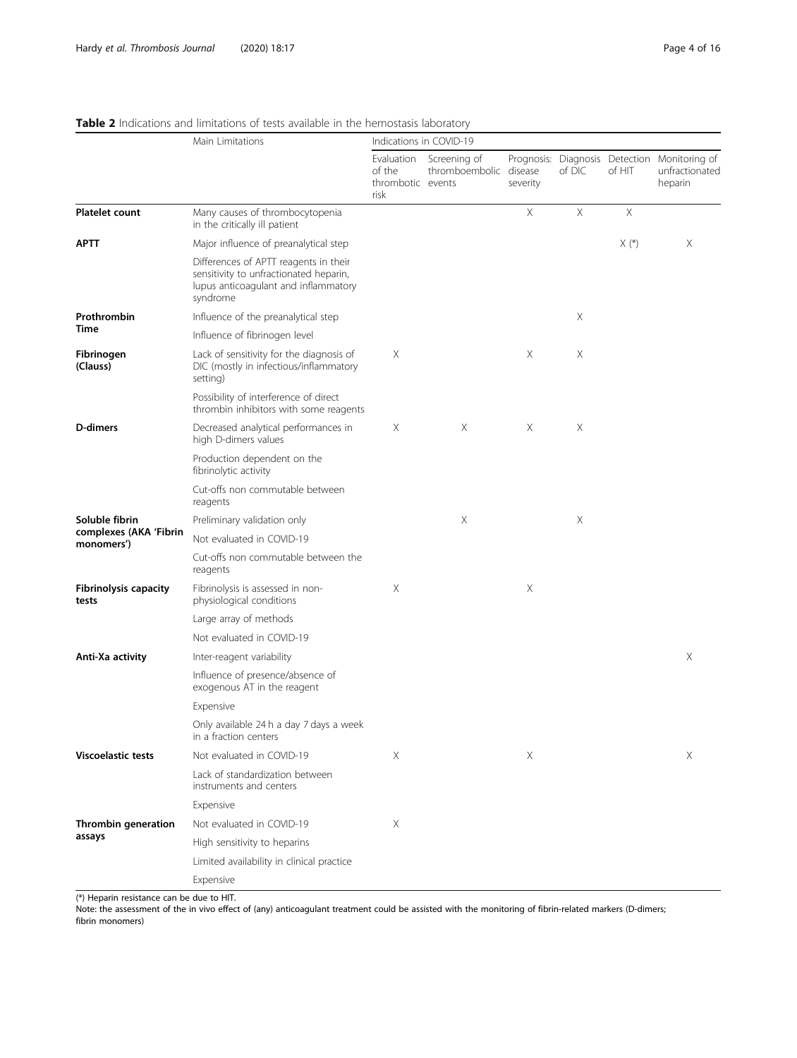|                                       | Main Limitations                                                                                                                    | Indications in COVID-19                           |                                        |          |                       |                                          |                                            |
|---------------------------------------|-------------------------------------------------------------------------------------------------------------------------------------|---------------------------------------------------|----------------------------------------|----------|-----------------------|------------------------------------------|--------------------------------------------|
|                                       |                                                                                                                                     | Evaluation<br>of the<br>thrombotic events<br>risk | Screening of<br>thromboembolic disease | severity | of DIC                | Prognosis: Diagnosis Detection<br>of HIT | Monitoring of<br>unfractionated<br>heparin |
| <b>Platelet count</b>                 | Many causes of thrombocytopenia<br>in the critically ill patient                                                                    |                                                   |                                        | Χ        | Χ                     | Χ                                        |                                            |
| APTT                                  | Major influence of preanalytical step                                                                                               |                                                   |                                        |          |                       | $X$ (*)                                  | Χ                                          |
|                                       | Differences of APTT reagents in their<br>sensitivity to unfractionated heparin,<br>lupus anticoagulant and inflammatory<br>syndrome |                                                   |                                        |          |                       |                                          |                                            |
| Prothrombin<br>Time                   | Influence of the preanalytical step                                                                                                 |                                                   |                                        |          | Χ                     |                                          |                                            |
|                                       | Influence of fibrinogen level                                                                                                       |                                                   |                                        |          |                       |                                          |                                            |
| Fibrinogen<br>(Clauss)                | Lack of sensitivity for the diagnosis of<br>DIC (mostly in infectious/inflammatory<br>setting)                                      | Χ                                                 |                                        | Χ        | Χ                     |                                          |                                            |
|                                       | Possibility of interference of direct<br>thrombin inhibitors with some reagents                                                     |                                                   |                                        |          |                       |                                          |                                            |
| D-dimers                              | Decreased analytical performances in<br>high D-dimers values                                                                        | Χ                                                 | Χ                                      | Χ        | $\boldsymbol{\times}$ |                                          |                                            |
|                                       | Production dependent on the<br>fibrinolytic activity                                                                                |                                                   |                                        |          |                       |                                          |                                            |
|                                       | Cut-offs non commutable between<br>reagents                                                                                         |                                                   |                                        |          |                       |                                          |                                            |
| Soluble fibrin                        | Preliminary validation only                                                                                                         |                                                   | Χ                                      |          | Χ                     |                                          |                                            |
| complexes (AKA 'Fibrin<br>monomers')  | Not evaluated in COVID-19                                                                                                           |                                                   |                                        |          |                       |                                          |                                            |
|                                       | Cut-offs non commutable between the<br>reagents                                                                                     |                                                   |                                        |          |                       |                                          |                                            |
| <b>Fibrinolysis capacity</b><br>tests | Fibrinolysis is assessed in non-<br>physiological conditions                                                                        | Χ                                                 |                                        | Χ        |                       |                                          |                                            |
|                                       | Large array of methods                                                                                                              |                                                   |                                        |          |                       |                                          |                                            |
|                                       | Not evaluated in COVID-19                                                                                                           |                                                   |                                        |          |                       |                                          |                                            |
| Anti-Xa activity                      | Inter-reagent variability                                                                                                           |                                                   |                                        |          |                       |                                          | Χ                                          |
|                                       | Influence of presence/absence of<br>exogenous AT in the reagent                                                                     |                                                   |                                        |          |                       |                                          |                                            |
|                                       | Expensive                                                                                                                           |                                                   |                                        |          |                       |                                          |                                            |
|                                       | Only available 24 h a day 7 days a week<br>in a fraction centers                                                                    |                                                   |                                        |          |                       |                                          |                                            |
| <b>Viscoelastic tests</b>             | Not evaluated in COVID-19                                                                                                           | Χ                                                 |                                        | Χ        |                       |                                          | Χ                                          |
|                                       | Lack of standardization between<br>instruments and centers                                                                          |                                                   |                                        |          |                       |                                          |                                            |
|                                       | Expensive                                                                                                                           |                                                   |                                        |          |                       |                                          |                                            |
| Thrombin generation<br>assays         | Not evaluated in COVID-19                                                                                                           | Χ                                                 |                                        |          |                       |                                          |                                            |
|                                       | High sensitivity to heparins                                                                                                        |                                                   |                                        |          |                       |                                          |                                            |
|                                       | Limited availability in clinical practice                                                                                           |                                                   |                                        |          |                       |                                          |                                            |
|                                       | Expensive                                                                                                                           |                                                   |                                        |          |                       |                                          |                                            |

# <span id="page-3-0"></span>Table 2 Indications and limitations of tests available in the hemostasis laboratory

(\*) Heparin resistance can be due to HIT.

Note: the assessment of the in vivo effect of (any) anticoagulant treatment could be assisted with the monitoring of fibrin-related markers (D-dimers; fibrin monomers)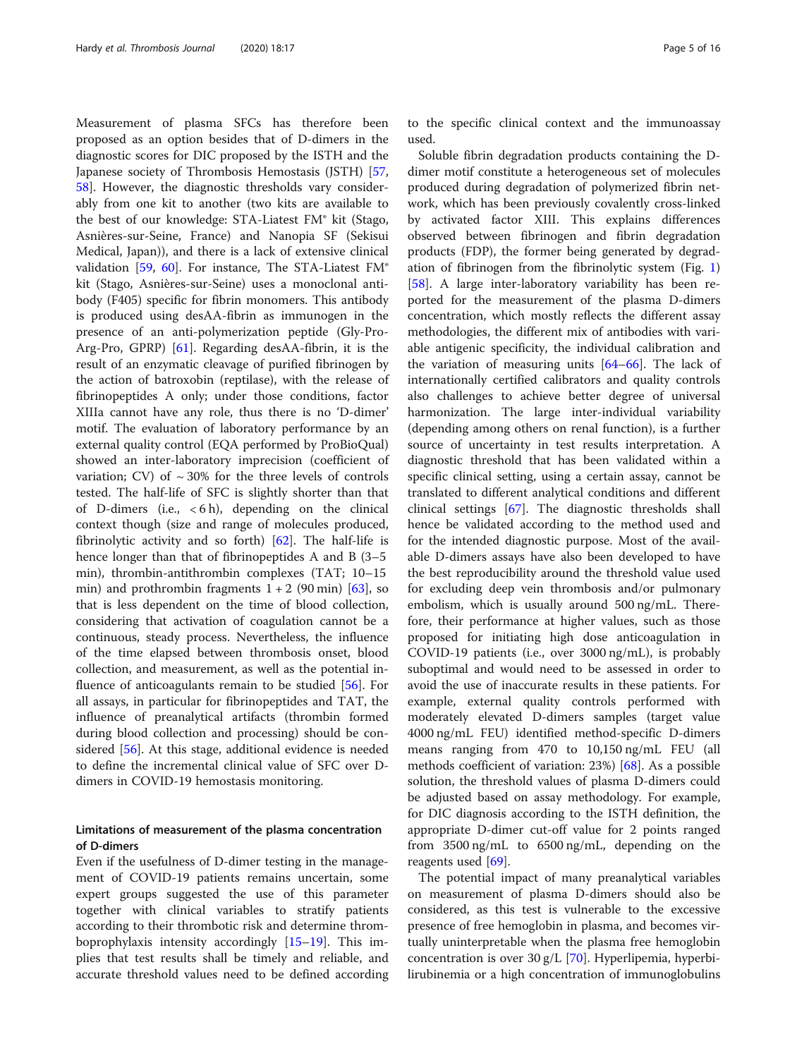Measurement of plasma SFCs has therefore been proposed as an option besides that of D-dimers in the diagnostic scores for DIC proposed by the ISTH and the Japanese society of Thrombosis Hemostasis (JSTH) [[57](#page-12-0), [58\]](#page-12-0). However, the diagnostic thresholds vary considerably from one kit to another (two kits are available to the best of our knowledge: STA-Liatest FM® kit (Stago, Asnières-sur-Seine, France) and Nanopia SF (Sekisui Medical, Japan)), and there is a lack of extensive clinical validation [\[59](#page-12-0), [60\]](#page-12-0). For instance, The STA-Liatest FM® kit (Stago, Asnières-sur-Seine) uses a monoclonal antibody (F405) specific for fibrin monomers. This antibody is produced using desAA-fibrin as immunogen in the presence of an anti-polymerization peptide (Gly-Pro-Arg-Pro, GPRP) [[61\]](#page-12-0). Regarding desAA-fibrin, it is the result of an enzymatic cleavage of purified fibrinogen by the action of batroxobin (reptilase), with the release of fibrinopeptides A only; under those conditions, factor XIIIa cannot have any role, thus there is no 'D-dimer' motif. The evaluation of laboratory performance by an external quality control (EQA performed by ProBioQual) showed an inter-laboratory imprecision (coefficient of variation; CV) of  $\sim$  30% for the three levels of controls tested. The half-life of SFC is slightly shorter than that of D-dimers (i.e., < 6 h), depending on the clinical context though (size and range of molecules produced, fibrinolytic activity and so forth)  $[62]$  $[62]$ . The half-life is hence longer than that of fibrinopeptides A and B (3–5) min), thrombin-antithrombin complexes (TAT; 10–15 min) and prothrombin fragments  $1 + 2$  (90 min) [[63\]](#page-12-0), so that is less dependent on the time of blood collection, considering that activation of coagulation cannot be a continuous, steady process. Nevertheless, the influence of the time elapsed between thrombosis onset, blood collection, and measurement, as well as the potential influence of anticoagulants remain to be studied [[56\]](#page-12-0). For all assays, in particular for fibrinopeptides and TAT, the influence of preanalytical artifacts (thrombin formed during blood collection and processing) should be considered [[56](#page-12-0)]. At this stage, additional evidence is needed to define the incremental clinical value of SFC over Ddimers in COVID-19 hemostasis monitoring.

# Limitations of measurement of the plasma concentration of D-dimers

Even if the usefulness of D-dimer testing in the management of COVID-19 patients remains uncertain, some expert groups suggested the use of this parameter together with clinical variables to stratify patients according to their thrombotic risk and determine thromboprophylaxis intensity accordingly [[15](#page-11-0)–[19](#page-11-0)]. This implies that test results shall be timely and reliable, and accurate threshold values need to be defined according to the specific clinical context and the immunoassay used.

Soluble fibrin degradation products containing the Ddimer motif constitute a heterogeneous set of molecules produced during degradation of polymerized fibrin network, which has been previously covalently cross-linked by activated factor XIII. This explains differences observed between fibrinogen and fibrin degradation products (FDP), the former being generated by degradation of fibrinogen from the fibrinolytic system (Fig. [1](#page-5-0)) [[58\]](#page-12-0). A large inter-laboratory variability has been reported for the measurement of the plasma D-dimers concentration, which mostly reflects the different assay methodologies, the different mix of antibodies with variable antigenic specificity, the individual calibration and the variation of measuring units  $[64-66]$  $[64-66]$  $[64-66]$ . The lack of internationally certified calibrators and quality controls also challenges to achieve better degree of universal harmonization. The large inter-individual variability (depending among others on renal function), is a further source of uncertainty in test results interpretation. A diagnostic threshold that has been validated within a specific clinical setting, using a certain assay, cannot be translated to different analytical conditions and different clinical settings [\[67\]](#page-12-0). The diagnostic thresholds shall hence be validated according to the method used and for the intended diagnostic purpose. Most of the available D-dimers assays have also been developed to have the best reproducibility around the threshold value used for excluding deep vein thrombosis and/or pulmonary embolism, which is usually around 500 ng/mL. Therefore, their performance at higher values, such as those proposed for initiating high dose anticoagulation in COVID-19 patients (i.e., over 3000 ng/mL), is probably suboptimal and would need to be assessed in order to avoid the use of inaccurate results in these patients. For example, external quality controls performed with moderately elevated D-dimers samples (target value 4000 ng/mL FEU) identified method-specific D-dimers means ranging from 470 to 10,150 ng/mL FEU (all methods coefficient of variation: 23%) [\[68](#page-12-0)]. As a possible solution, the threshold values of plasma D-dimers could be adjusted based on assay methodology. For example, for DIC diagnosis according to the ISTH definition, the appropriate D-dimer cut-off value for 2 points ranged from 3500 ng/mL to 6500 ng/mL, depending on the reagents used [\[69](#page-12-0)].

The potential impact of many preanalytical variables on measurement of plasma D-dimers should also be considered, as this test is vulnerable to the excessive presence of free hemoglobin in plasma, and becomes virtually uninterpretable when the plasma free hemoglobin concentration is over 30 g/L [[70\]](#page-12-0). Hyperlipemia, hyperbilirubinemia or a high concentration of immunoglobulins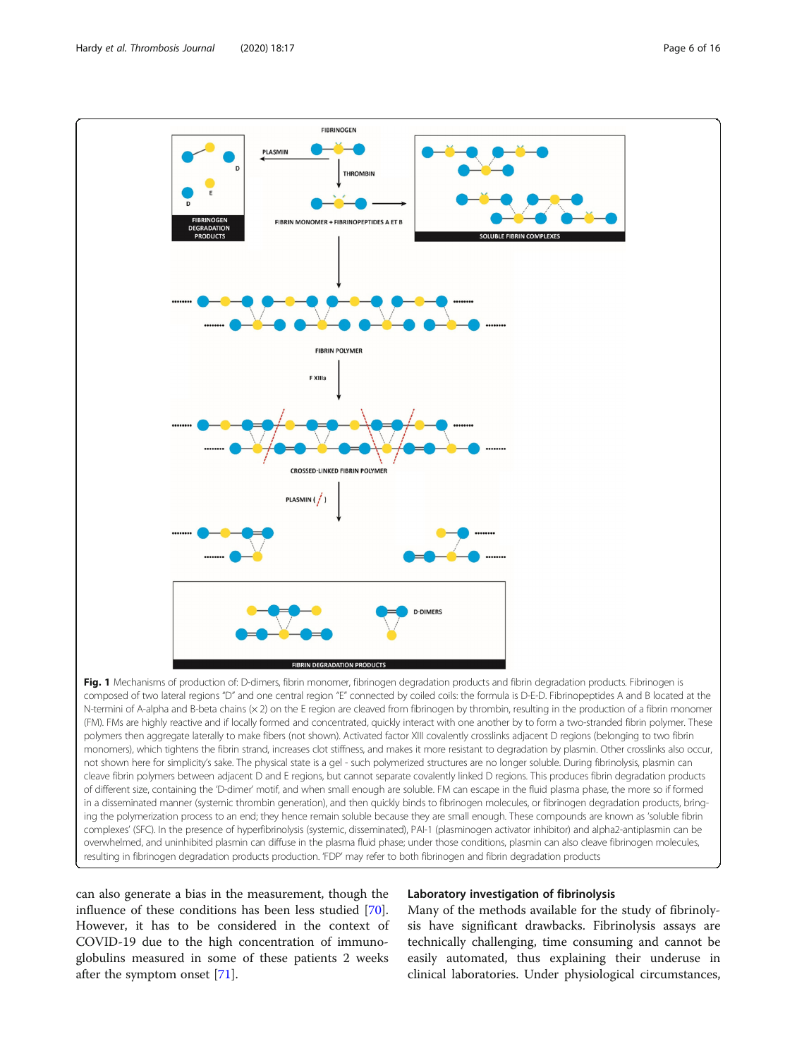<span id="page-5-0"></span>

polymers then aggregate laterally to make fibers (not shown). Activated factor XIII covalently crosslinks adjacent D regions (belonging to two fibrin monomers), which tightens the fibrin strand, increases clot stiffness, and makes it more resistant to degradation by plasmin. Other crosslinks also occur, not shown here for simplicity's sake. The physical state is a gel - such polymerized structures are no longer soluble. During fibrinolysis, plasmin can cleave fibrin polymers between adjacent D and E regions, but cannot separate covalently linked D regions. This produces fibrin degradation products of different size, containing the 'D-dimer' motif, and when small enough are soluble. FM can escape in the fluid plasma phase, the more so if formed in a disseminated manner (systemic thrombin generation), and then quickly binds to fibrinogen molecules, or fibrinogen degradation products, bringing the polymerization process to an end; they hence remain soluble because they are small enough. These compounds are known as 'soluble fibrin complexes' (SFC). In the presence of hyperfibrinolysis (systemic, disseminated), PAI-1 (plasminogen activator inhibitor) and alpha2-antiplasmin can be overwhelmed, and uninhibited plasmin can diffuse in the plasma fluid phase; under those conditions, plasmin can also cleave fibrinogen molecules, resulting in fibrinogen degradation products production. 'FDP' may refer to both fibrinogen and fibrin degradation products

can also generate a bias in the measurement, though the influence of these conditions has been less studied [\[70](#page-12-0)]. However, it has to be considered in the context of COVID-19 due to the high concentration of immunoglobulins measured in some of these patients 2 weeks after the symptom onset [[71\]](#page-12-0).

# Laboratory investigation of fibrinolysis

Many of the methods available for the study of fibrinolysis have significant drawbacks. Fibrinolysis assays are technically challenging, time consuming and cannot be easily automated, thus explaining their underuse in clinical laboratories. Under physiological circumstances,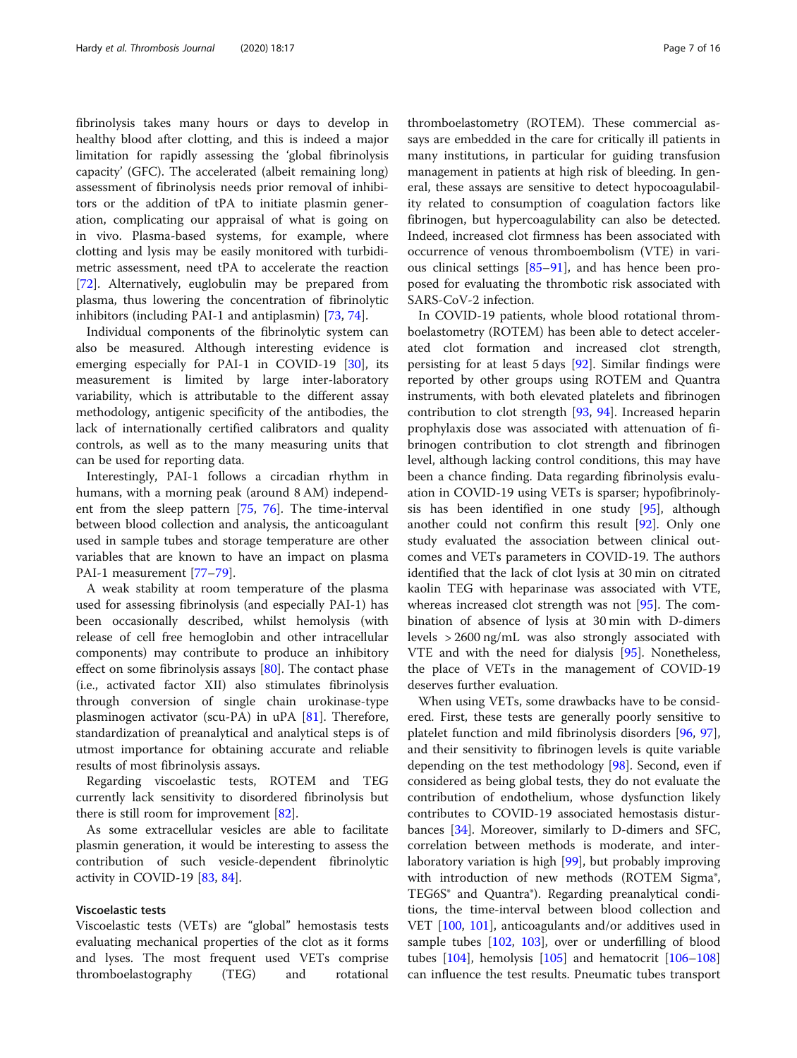fibrinolysis takes many hours or days to develop in healthy blood after clotting, and this is indeed a major limitation for rapidly assessing the 'global fibrinolysis capacity' (GFC). The accelerated (albeit remaining long) assessment of fibrinolysis needs prior removal of inhibitors or the addition of tPA to initiate plasmin generation, complicating our appraisal of what is going on in vivo. Plasma-based systems, for example, where clotting and lysis may be easily monitored with turbidimetric assessment, need tPA to accelerate the reaction [[72\]](#page-12-0). Alternatively, euglobulin may be prepared from plasma, thus lowering the concentration of fibrinolytic inhibitors (including PAI-1 and antiplasmin) [\[73](#page-13-0), [74\]](#page-13-0).

Individual components of the fibrinolytic system can also be measured. Although interesting evidence is emerging especially for PAI-1 in COVID-19 [\[30\]](#page-12-0), its measurement is limited by large inter-laboratory variability, which is attributable to the different assay methodology, antigenic specificity of the antibodies, the lack of internationally certified calibrators and quality controls, as well as to the many measuring units that can be used for reporting data.

Interestingly, PAI-1 follows a circadian rhythm in humans, with a morning peak (around 8 AM) independent from the sleep pattern [[75,](#page-13-0) [76\]](#page-13-0). The time-interval between blood collection and analysis, the anticoagulant used in sample tubes and storage temperature are other variables that are known to have an impact on plasma PAI-1 measurement [\[77](#page-13-0)–[79\]](#page-13-0).

A weak stability at room temperature of the plasma used for assessing fibrinolysis (and especially PAI-1) has been occasionally described, whilst hemolysis (with release of cell free hemoglobin and other intracellular components) may contribute to produce an inhibitory effect on some fibrinolysis assays [\[80](#page-13-0)]. The contact phase (i.e., activated factor XII) also stimulates fibrinolysis through conversion of single chain urokinase-type plasminogen activator (scu-PA) in uPA [[81\]](#page-13-0). Therefore, standardization of preanalytical and analytical steps is of utmost importance for obtaining accurate and reliable results of most fibrinolysis assays.

Regarding viscoelastic tests, ROTEM and TEG currently lack sensitivity to disordered fibrinolysis but there is still room for improvement [[82\]](#page-13-0).

As some extracellular vesicles are able to facilitate plasmin generation, it would be interesting to assess the contribution of such vesicle-dependent fibrinolytic activity in COVID-19 [[83](#page-13-0), [84](#page-13-0)].

# Viscoelastic tests

Viscoelastic tests (VETs) are "global" hemostasis tests evaluating mechanical properties of the clot as it forms and lyses. The most frequent used VETs comprise thromboelastography (TEG) and rotational

thromboelastometry (ROTEM). These commercial assays are embedded in the care for critically ill patients in many institutions, in particular for guiding transfusion management in patients at high risk of bleeding. In general, these assays are sensitive to detect hypocoagulability related to consumption of coagulation factors like fibrinogen, but hypercoagulability can also be detected. Indeed, increased clot firmness has been associated with occurrence of venous thromboembolism (VTE) in various clinical settings [[85](#page-13-0)–[91](#page-13-0)], and has hence been proposed for evaluating the thrombotic risk associated with SARS-CoV-2 infection.

In COVID-19 patients, whole blood rotational thromboelastometry (ROTEM) has been able to detect accelerated clot formation and increased clot strength, persisting for at least 5 days [\[92\]](#page-13-0). Similar findings were reported by other groups using ROTEM and Quantra instruments, with both elevated platelets and fibrinogen contribution to clot strength [[93](#page-13-0), [94](#page-13-0)]. Increased heparin prophylaxis dose was associated with attenuation of fibrinogen contribution to clot strength and fibrinogen level, although lacking control conditions, this may have been a chance finding. Data regarding fibrinolysis evaluation in COVID-19 using VETs is sparser; hypofibrinolysis has been identified in one study [[95\]](#page-13-0), although another could not confirm this result [[92\]](#page-13-0). Only one study evaluated the association between clinical outcomes and VETs parameters in COVID-19. The authors identified that the lack of clot lysis at 30 min on citrated kaolin TEG with heparinase was associated with VTE, whereas increased clot strength was not [[95](#page-13-0)]. The combination of absence of lysis at 30 min with D-dimers levels > 2600 ng/mL was also strongly associated with VTE and with the need for dialysis [[95\]](#page-13-0). Nonetheless, the place of VETs in the management of COVID-19 deserves further evaluation.

When using VETs, some drawbacks have to be considered. First, these tests are generally poorly sensitive to platelet function and mild fibrinolysis disorders [\[96,](#page-13-0) [97](#page-13-0)], and their sensitivity to fibrinogen levels is quite variable depending on the test methodology [[98\]](#page-13-0). Second, even if considered as being global tests, they do not evaluate the contribution of endothelium, whose dysfunction likely contributes to COVID-19 associated hemostasis disturbances [[34\]](#page-12-0). Moreover, similarly to D-dimers and SFC, correlation between methods is moderate, and interlaboratory variation is high [[99](#page-13-0)], but probably improving with introduction of new methods (ROTEM Sigma<sup>®</sup>, TEG6S® and Quantra®). Regarding preanalytical conditions, the time-interval between blood collection and VET [\[100](#page-13-0), [101\]](#page-13-0), anticoagulants and/or additives used in sample tubes [[102,](#page-13-0) [103](#page-13-0)], over or underfilling of blood tubes  $[104]$ , hemolysis  $[105]$  and hematocrit  $[106-108]$  $[106-108]$  $[106-108]$  $[106-108]$ can influence the test results. Pneumatic tubes transport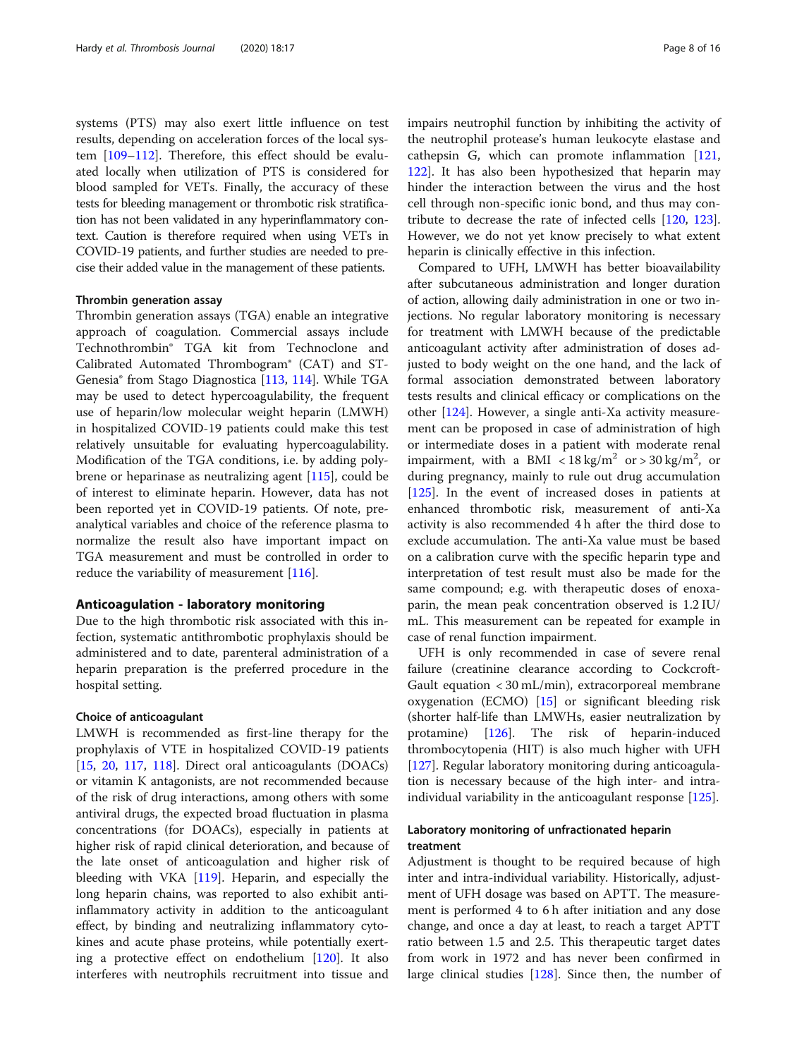systems (PTS) may also exert little influence on test results, depending on acceleration forces of the local system [\[109](#page-13-0)–[112\]](#page-13-0). Therefore, this effect should be evaluated locally when utilization of PTS is considered for blood sampled for VETs. Finally, the accuracy of these tests for bleeding management or thrombotic risk stratification has not been validated in any hyperinflammatory context. Caution is therefore required when using VETs in COVID-19 patients, and further studies are needed to precise their added value in the management of these patients.

# Thrombin generation assay

Thrombin generation assays (TGA) enable an integrative approach of coagulation. Commercial assays include Technothrombin® TGA kit from Technoclone and Calibrated Automated Thrombogram® (CAT) and ST-Genesia® from Stago Diagnostica [\[113,](#page-13-0) [114](#page-13-0)]. While TGA may be used to detect hypercoagulability, the frequent use of heparin/low molecular weight heparin (LMWH) in hospitalized COVID-19 patients could make this test relatively unsuitable for evaluating hypercoagulability. Modification of the TGA conditions, i.e. by adding polybrene or heparinase as neutralizing agent [\[115](#page-13-0)], could be of interest to eliminate heparin. However, data has not been reported yet in COVID-19 patients. Of note, preanalytical variables and choice of the reference plasma to normalize the result also have important impact on TGA measurement and must be controlled in order to reduce the variability of measurement [\[116\]](#page-13-0).

# Anticoagulation - laboratory monitoring

Due to the high thrombotic risk associated with this infection, systematic antithrombotic prophylaxis should be administered and to date, parenteral administration of a heparin preparation is the preferred procedure in the hospital setting.

## Choice of anticoagulant

LMWH is recommended as first-line therapy for the prophylaxis of VTE in hospitalized COVID-19 patients [[15,](#page-11-0) [20](#page-11-0), [117](#page-13-0), [118\]](#page-14-0). Direct oral anticoagulants (DOACs) or vitamin K antagonists, are not recommended because of the risk of drug interactions, among others with some antiviral drugs, the expected broad fluctuation in plasma concentrations (for DOACs), especially in patients at higher risk of rapid clinical deterioration, and because of the late onset of anticoagulation and higher risk of bleeding with VKA [[119\]](#page-14-0). Heparin, and especially the long heparin chains, was reported to also exhibit antiinflammatory activity in addition to the anticoagulant effect, by binding and neutralizing inflammatory cytokines and acute phase proteins, while potentially exerting a protective effect on endothelium [[120](#page-14-0)]. It also interferes with neutrophils recruitment into tissue and impairs neutrophil function by inhibiting the activity of the neutrophil protease's human leukocyte elastase and cathepsin G, which can promote inflammation [[121](#page-14-0), [122](#page-14-0)]. It has also been hypothesized that heparin may hinder the interaction between the virus and the host cell through non-specific ionic bond, and thus may contribute to decrease the rate of infected cells [[120](#page-14-0), [123](#page-14-0)]. However, we do not yet know precisely to what extent heparin is clinically effective in this infection.

Compared to UFH, LMWH has better bioavailability after subcutaneous administration and longer duration of action, allowing daily administration in one or two injections. No regular laboratory monitoring is necessary for treatment with LMWH because of the predictable anticoagulant activity after administration of doses adjusted to body weight on the one hand, and the lack of formal association demonstrated between laboratory tests results and clinical efficacy or complications on the other [\[124\]](#page-14-0). However, a single anti-Xa activity measurement can be proposed in case of administration of high or intermediate doses in a patient with moderate renal impairment, with a BMI <  $18 \text{ kg/m}^2$  or >  $30 \text{ kg/m}^2$ , or during pregnancy, mainly to rule out drug accumulation [[125\]](#page-14-0). In the event of increased doses in patients at enhanced thrombotic risk, measurement of anti-Xa activity is also recommended 4 h after the third dose to exclude accumulation. The anti-Xa value must be based on a calibration curve with the specific heparin type and interpretation of test result must also be made for the same compound; e.g. with therapeutic doses of enoxaparin, the mean peak concentration observed is 1.2 IU/ mL. This measurement can be repeated for example in case of renal function impairment.

UFH is only recommended in case of severe renal failure (creatinine clearance according to Cockcroft-Gault equation < 30 mL/min), extracorporeal membrane oxygenation (ECMO) [[15](#page-11-0)] or significant bleeding risk (shorter half-life than LMWHs, easier neutralization by protamine) [\[126\]](#page-14-0). The risk of heparin-induced thrombocytopenia (HIT) is also much higher with UFH [[127\]](#page-14-0). Regular laboratory monitoring during anticoagulation is necessary because of the high inter- and intraindividual variability in the anticoagulant response [\[125](#page-14-0)].

# Laboratory monitoring of unfractionated heparin treatment

Adjustment is thought to be required because of high inter and intra-individual variability. Historically, adjustment of UFH dosage was based on APTT. The measurement is performed 4 to 6 h after initiation and any dose change, and once a day at least, to reach a target APTT ratio between 1.5 and 2.5. This therapeutic target dates from work in 1972 and has never been confirmed in large clinical studies [\[128\]](#page-14-0). Since then, the number of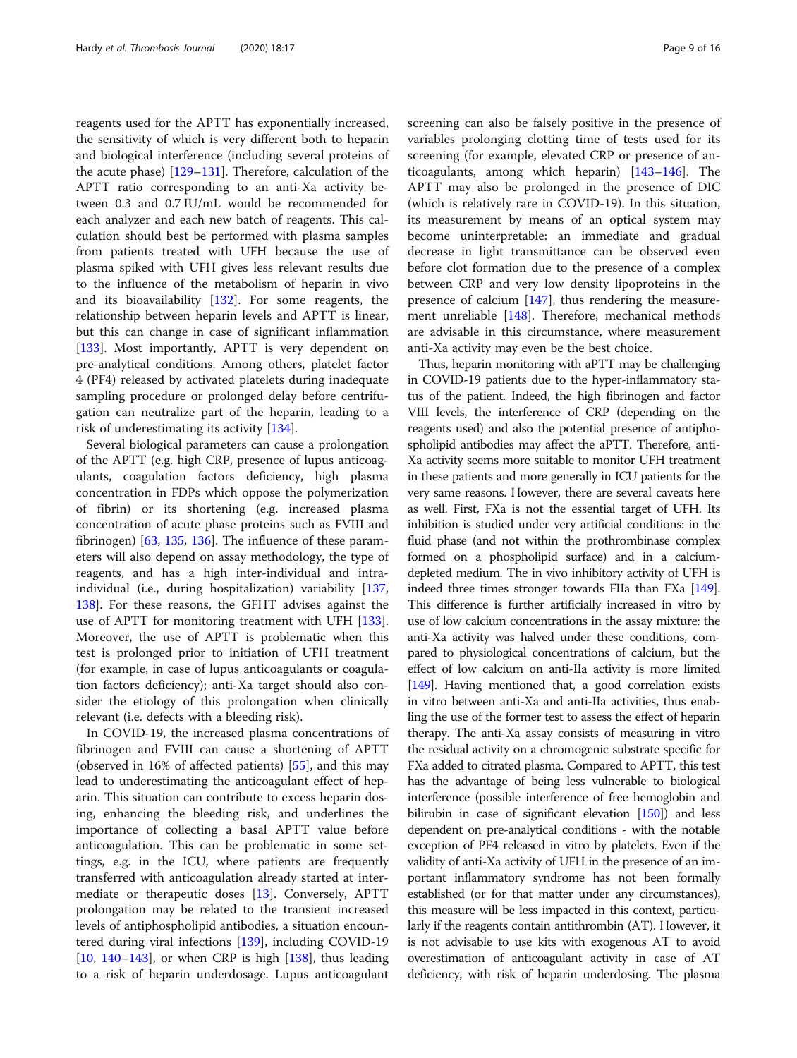reagents used for the APTT has exponentially increased, the sensitivity of which is very different both to heparin and biological interference (including several proteins of the acute phase) [[129](#page-14-0)–[131](#page-14-0)]. Therefore, calculation of the APTT ratio corresponding to an anti-Xa activity between 0.3 and 0.7 IU/mL would be recommended for each analyzer and each new batch of reagents. This calculation should best be performed with plasma samples from patients treated with UFH because the use of plasma spiked with UFH gives less relevant results due to the influence of the metabolism of heparin in vivo and its bioavailability [[132\]](#page-14-0). For some reagents, the relationship between heparin levels and APTT is linear, but this can change in case of significant inflammation [[133\]](#page-14-0). Most importantly, APTT is very dependent on pre-analytical conditions. Among others, platelet factor 4 (PF4) released by activated platelets during inadequate sampling procedure or prolonged delay before centrifugation can neutralize part of the heparin, leading to a risk of underestimating its activity [[134](#page-14-0)].

Several biological parameters can cause a prolongation of the APTT (e.g. high CRP, presence of lupus anticoagulants, coagulation factors deficiency, high plasma concentration in FDPs which oppose the polymerization of fibrin) or its shortening (e.g. increased plasma concentration of acute phase proteins such as FVIII and fibrinogen)  $[63, 135, 136]$  $[63, 135, 136]$  $[63, 135, 136]$  $[63, 135, 136]$  $[63, 135, 136]$  $[63, 135, 136]$ . The influence of these parameters will also depend on assay methodology, the type of reagents, and has a high inter-individual and intraindividual (i.e., during hospitalization) variability [[137](#page-14-0), [138](#page-14-0)]. For these reasons, the GFHT advises against the use of APTT for monitoring treatment with UFH [\[133](#page-14-0)]. Moreover, the use of APTT is problematic when this test is prolonged prior to initiation of UFH treatment (for example, in case of lupus anticoagulants or coagulation factors deficiency); anti-Xa target should also consider the etiology of this prolongation when clinically relevant (i.e. defects with a bleeding risk).

In COVID-19, the increased plasma concentrations of fibrinogen and FVIII can cause a shortening of APTT (observed in 16% of affected patients) [[55](#page-12-0)], and this may lead to underestimating the anticoagulant effect of heparin. This situation can contribute to excess heparin dosing, enhancing the bleeding risk, and underlines the importance of collecting a basal APTT value before anticoagulation. This can be problematic in some settings, e.g. in the ICU, where patients are frequently transferred with anticoagulation already started at intermediate or therapeutic doses [[13](#page-11-0)]. Conversely, APTT prolongation may be related to the transient increased levels of antiphospholipid antibodies, a situation encountered during viral infections [[139\]](#page-14-0), including COVID-19 [[10,](#page-11-0) [140](#page-14-0)–[143](#page-14-0)], or when CRP is high [[138\]](#page-14-0), thus leading to a risk of heparin underdosage. Lupus anticoagulant screening can also be falsely positive in the presence of variables prolonging clotting time of tests used for its screening (for example, elevated CRP or presence of anticoagulants, among which heparin) [\[143](#page-14-0)–[146\]](#page-14-0). The APTT may also be prolonged in the presence of DIC (which is relatively rare in COVID-19). In this situation, its measurement by means of an optical system may become uninterpretable: an immediate and gradual decrease in light transmittance can be observed even before clot formation due to the presence of a complex between CRP and very low density lipoproteins in the presence of calcium [\[147\]](#page-14-0), thus rendering the measurement unreliable [[148](#page-14-0)]. Therefore, mechanical methods are advisable in this circumstance, where measurement anti-Xa activity may even be the best choice.

Thus, heparin monitoring with aPTT may be challenging in COVID-19 patients due to the hyper-inflammatory status of the patient. Indeed, the high fibrinogen and factor VIII levels, the interference of CRP (depending on the reagents used) and also the potential presence of antiphospholipid antibodies may affect the aPTT. Therefore, anti-Xa activity seems more suitable to monitor UFH treatment in these patients and more generally in ICU patients for the very same reasons. However, there are several caveats here as well. First, FXa is not the essential target of UFH. Its inhibition is studied under very artificial conditions: in the fluid phase (and not within the prothrombinase complex formed on a phospholipid surface) and in a calciumdepleted medium. The in vivo inhibitory activity of UFH is indeed three times stronger towards FIIa than FXa [\[149](#page-14-0)]. This difference is further artificially increased in vitro by use of low calcium concentrations in the assay mixture: the anti-Xa activity was halved under these conditions, compared to physiological concentrations of calcium, but the effect of low calcium on anti-IIa activity is more limited [[149\]](#page-14-0). Having mentioned that, a good correlation exists in vitro between anti-Xa and anti-IIa activities, thus enabling the use of the former test to assess the effect of heparin therapy. The anti-Xa assay consists of measuring in vitro the residual activity on a chromogenic substrate specific for FXa added to citrated plasma. Compared to APTT, this test has the advantage of being less vulnerable to biological interference (possible interference of free hemoglobin and bilirubin in case of significant elevation [\[150](#page-14-0)]) and less dependent on pre-analytical conditions - with the notable exception of PF4 released in vitro by platelets. Even if the validity of anti-Xa activity of UFH in the presence of an important inflammatory syndrome has not been formally established (or for that matter under any circumstances), this measure will be less impacted in this context, particularly if the reagents contain antithrombin (AT). However, it is not advisable to use kits with exogenous AT to avoid overestimation of anticoagulant activity in case of AT deficiency, with risk of heparin underdosing. The plasma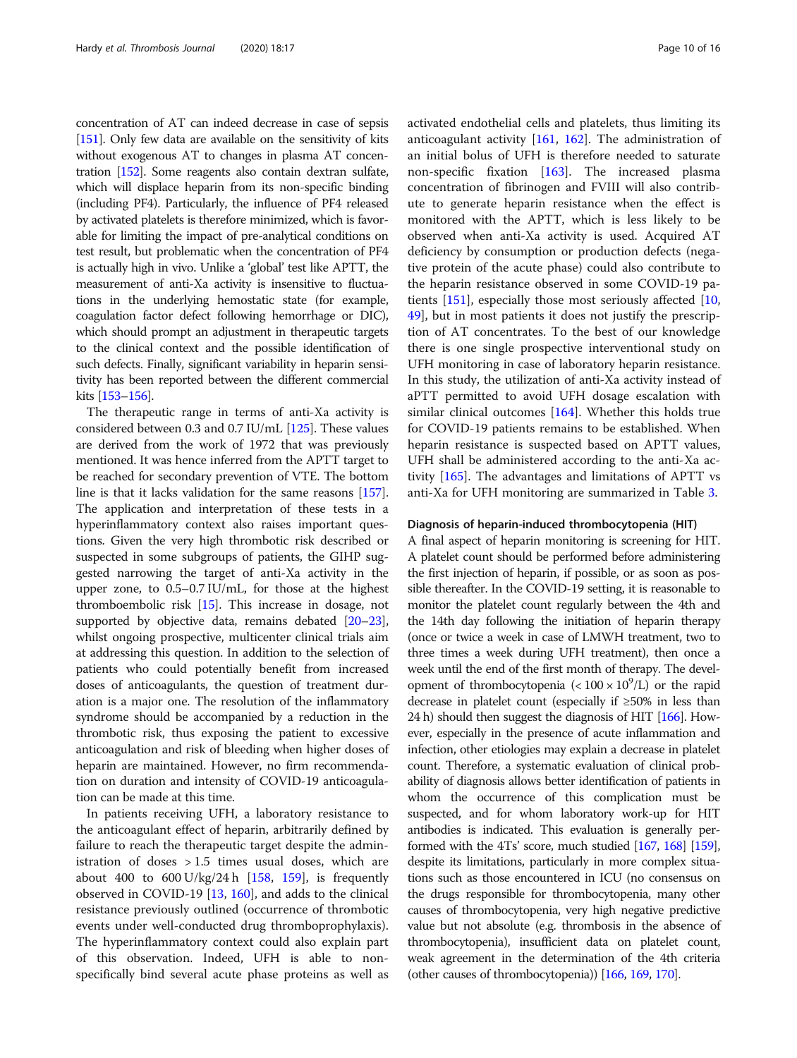concentration of AT can indeed decrease in case of sepsis [[151\]](#page-14-0). Only few data are available on the sensitivity of kits without exogenous AT to changes in plasma AT concentration [\[152](#page-14-0)]. Some reagents also contain dextran sulfate, which will displace heparin from its non-specific binding (including PF4). Particularly, the influence of PF4 released by activated platelets is therefore minimized, which is favorable for limiting the impact of pre-analytical conditions on test result, but problematic when the concentration of PF4 is actually high in vivo. Unlike a 'global' test like APTT, the measurement of anti-Xa activity is insensitive to fluctuations in the underlying hemostatic state (for example, coagulation factor defect following hemorrhage or DIC), which should prompt an adjustment in therapeutic targets to the clinical context and the possible identification of such defects. Finally, significant variability in heparin sensitivity has been reported between the different commercial kits [\[153](#page-14-0)–[156](#page-14-0)].

The therapeutic range in terms of anti-Xa activity is considered between 0.3 and 0.7 IU/mL [\[125\]](#page-14-0). These values are derived from the work of 1972 that was previously mentioned. It was hence inferred from the APTT target to be reached for secondary prevention of VTE. The bottom line is that it lacks validation for the same reasons [[157](#page-14-0)]. The application and interpretation of these tests in a hyperinflammatory context also raises important questions. Given the very high thrombotic risk described or suspected in some subgroups of patients, the GIHP suggested narrowing the target of anti-Xa activity in the upper zone, to 0.5–0.7 IU/mL, for those at the highest thromboembolic risk [[15](#page-11-0)]. This increase in dosage, not supported by objective data, remains debated [\[20](#page-11-0)–[23](#page-11-0)], whilst ongoing prospective, multicenter clinical trials aim at addressing this question. In addition to the selection of patients who could potentially benefit from increased doses of anticoagulants, the question of treatment duration is a major one. The resolution of the inflammatory syndrome should be accompanied by a reduction in the thrombotic risk, thus exposing the patient to excessive anticoagulation and risk of bleeding when higher doses of heparin are maintained. However, no firm recommendation on duration and intensity of COVID-19 anticoagulation can be made at this time.

In patients receiving UFH, a laboratory resistance to the anticoagulant effect of heparin, arbitrarily defined by failure to reach the therapeutic target despite the administration of doses  $>1.5$  times usual doses, which are about 400 to  $600$  U/kg/24 h [[158,](#page-14-0) [159](#page-14-0)], is frequently observed in COVID-19 [[13](#page-11-0), [160](#page-14-0)], and adds to the clinical resistance previously outlined (occurrence of thrombotic events under well-conducted drug thromboprophylaxis). The hyperinflammatory context could also explain part of this observation. Indeed, UFH is able to nonspecifically bind several acute phase proteins as well as activated endothelial cells and platelets, thus limiting its anticoagulant activity [[161](#page-14-0), [162\]](#page-14-0). The administration of an initial bolus of UFH is therefore needed to saturate non-specific fixation [\[163](#page-14-0)]. The increased plasma concentration of fibrinogen and FVIII will also contribute to generate heparin resistance when the effect is monitored with the APTT, which is less likely to be observed when anti-Xa activity is used. Acquired AT deficiency by consumption or production defects (negative protein of the acute phase) could also contribute to the heparin resistance observed in some COVID-19 patients  $[151]$  $[151]$ , especially those most seriously affected  $[10]$  $[10]$  $[10]$ , [49\]](#page-12-0), but in most patients it does not justify the prescription of AT concentrates. To the best of our knowledge there is one single prospective interventional study on UFH monitoring in case of laboratory heparin resistance. In this study, the utilization of anti-Xa activity instead of aPTT permitted to avoid UFH dosage escalation with similar clinical outcomes [[164](#page-14-0)]. Whether this holds true for COVID-19 patients remains to be established. When heparin resistance is suspected based on APTT values, UFH shall be administered according to the anti-Xa activity [[165\]](#page-15-0). The advantages and limitations of APTT vs anti-Xa for UFH monitoring are summarized in Table [3](#page-10-0).

### Diagnosis of heparin-induced thrombocytopenia (HIT)

A final aspect of heparin monitoring is screening for HIT. A platelet count should be performed before administering the first injection of heparin, if possible, or as soon as possible thereafter. In the COVID-19 setting, it is reasonable to monitor the platelet count regularly between the 4th and the 14th day following the initiation of heparin therapy (once or twice a week in case of LMWH treatment, two to three times a week during UFH treatment), then once a week until the end of the first month of therapy. The development of thrombocytopenia (<  $100 \times 10^9$ /L) or the rapid decrease in platelet count (especially if ≥50% in less than 24 h) should then suggest the diagnosis of HIT [\[166](#page-15-0)]. However, especially in the presence of acute inflammation and infection, other etiologies may explain a decrease in platelet count. Therefore, a systematic evaluation of clinical probability of diagnosis allows better identification of patients in whom the occurrence of this complication must be suspected, and for whom laboratory work-up for HIT antibodies is indicated. This evaluation is generally performed with the 4Ts' score, much studied [[167,](#page-15-0) [168](#page-15-0)] [\[159](#page-14-0)], despite its limitations, particularly in more complex situations such as those encountered in ICU (no consensus on the drugs responsible for thrombocytopenia, many other causes of thrombocytopenia, very high negative predictive value but not absolute (e.g. thrombosis in the absence of thrombocytopenia), insufficient data on platelet count, weak agreement in the determination of the 4th criteria (other causes of thrombocytopenia)) [\[166](#page-15-0), [169](#page-15-0), [170\]](#page-15-0).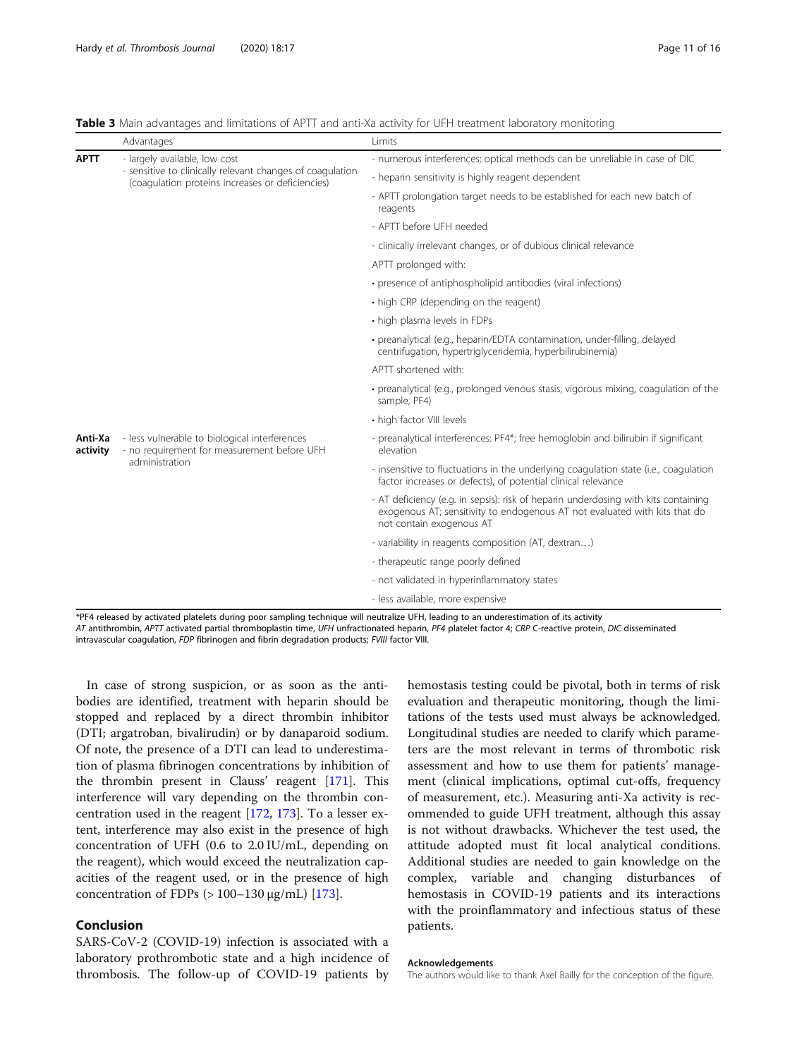|                                              | Advantages                                                                                                     | Limits                                                                                                                                                                                       |  |  |  |  |
|----------------------------------------------|----------------------------------------------------------------------------------------------------------------|----------------------------------------------------------------------------------------------------------------------------------------------------------------------------------------------|--|--|--|--|
| <b>APTT</b><br>- largely available, low cost |                                                                                                                | - numerous interferences; optical methods can be unreliable in case of DIC                                                                                                                   |  |  |  |  |
|                                              | - sensitive to clinically relevant changes of coagulation<br>(coagulation proteins increases or deficiencies)  | - heparin sensitivity is highly reagent dependent                                                                                                                                            |  |  |  |  |
|                                              |                                                                                                                | - APTT prolongation target needs to be established for each new batch of<br>reagents                                                                                                         |  |  |  |  |
|                                              |                                                                                                                | - APTT before UFH needed                                                                                                                                                                     |  |  |  |  |
|                                              |                                                                                                                | - clinically irrelevant changes, or of dubious clinical relevance                                                                                                                            |  |  |  |  |
|                                              |                                                                                                                | APTT prolonged with:                                                                                                                                                                         |  |  |  |  |
|                                              |                                                                                                                | · presence of antiphospholipid antibodies (viral infections)                                                                                                                                 |  |  |  |  |
|                                              |                                                                                                                | • high CRP (depending on the reagent)                                                                                                                                                        |  |  |  |  |
|                                              |                                                                                                                | • high plasma levels in FDPs                                                                                                                                                                 |  |  |  |  |
|                                              |                                                                                                                | · preanalytical (e.g., heparin/EDTA contamination, under-filling, delayed<br>centrifugation, hypertriglyceridemia, hyperbilirubinemia)                                                       |  |  |  |  |
|                                              |                                                                                                                | APTT shortened with:                                                                                                                                                                         |  |  |  |  |
|                                              |                                                                                                                | • preanalytical (e.g., prolonged venous stasis, vigorous mixing, coagulation of the<br>sample, PF4)                                                                                          |  |  |  |  |
|                                              |                                                                                                                | • high factor VIII levels                                                                                                                                                                    |  |  |  |  |
| Anti-Xa<br>activity                          | - less vulnerable to biological interferences<br>- no requirement for measurement before UFH<br>administration | - preanalytical interferences: PF4*; free hemoglobin and bilirubin if significant<br>elevation                                                                                               |  |  |  |  |
|                                              |                                                                                                                | - insensitive to fluctuations in the underlying coagulation state (i.e., coagulation<br>factor increases or defects), of potential clinical relevance                                        |  |  |  |  |
|                                              |                                                                                                                | - AT deficiency (e.g. in sepsis): risk of heparin underdosing with kits containing<br>exogenous AT; sensitivity to endogenous AT not evaluated with kits that do<br>not contain exogenous AT |  |  |  |  |
|                                              |                                                                                                                | - variability in reagents composition (AT, dextran)                                                                                                                                          |  |  |  |  |
|                                              |                                                                                                                | - therapeutic range poorly defined                                                                                                                                                           |  |  |  |  |
|                                              |                                                                                                                | - not validated in hyperinflammatory states                                                                                                                                                  |  |  |  |  |
|                                              |                                                                                                                | - less available, more expensive                                                                                                                                                             |  |  |  |  |

<span id="page-10-0"></span>Table 3 Main advantages and limitations of APTT and anti-Xa activity for UFH treatment laboratory monitoring

\*PF4 released by activated platelets during poor sampling technique will neutralize UFH, leading to an underestimation of its activity AT antithrombin, APTT activated partial thromboplastin time, UFH unfractionated heparin, PF4 platelet factor 4; CRP C-reactive protein, DIC disseminated intravascular coagulation, FDP fibrinogen and fibrin degradation products; FVIII factor VIII.

In case of strong suspicion, or as soon as the antibodies are identified, treatment with heparin should be stopped and replaced by a direct thrombin inhibitor (DTI; argatroban, bivalirudin) or by danaparoid sodium. Of note, the presence of a DTI can lead to underestimation of plasma fibrinogen concentrations by inhibition of the thrombin present in Clauss' reagent [[171\]](#page-15-0). This interference will vary depending on the thrombin concentration used in the reagent [[172](#page-15-0), [173](#page-15-0)]. To a lesser extent, interference may also exist in the presence of high concentration of UFH (0.6 to 2.0 IU/mL, depending on the reagent), which would exceed the neutralization capacities of the reagent used, or in the presence of high concentration of FDPs  $($ > 100–130 μg/mL $)$  [\[173\]](#page-15-0).

# Conclusion

SARS-CoV-2 (COVID-19) infection is associated with a laboratory prothrombotic state and a high incidence of thrombosis. The follow-up of COVID-19 patients by

hemostasis testing could be pivotal, both in terms of risk evaluation and therapeutic monitoring, though the limitations of the tests used must always be acknowledged. Longitudinal studies are needed to clarify which parameters are the most relevant in terms of thrombotic risk assessment and how to use them for patients' management (clinical implications, optimal cut-offs, frequency of measurement, etc.). Measuring anti-Xa activity is recommended to guide UFH treatment, although this assay is not without drawbacks. Whichever the test used, the attitude adopted must fit local analytical conditions. Additional studies are needed to gain knowledge on the complex, variable and changing disturbances of hemostasis in COVID-19 patients and its interactions with the proinflammatory and infectious status of these patients.

#### Acknowledgements

The authors would like to thank Axel Bailly for the conception of the figure.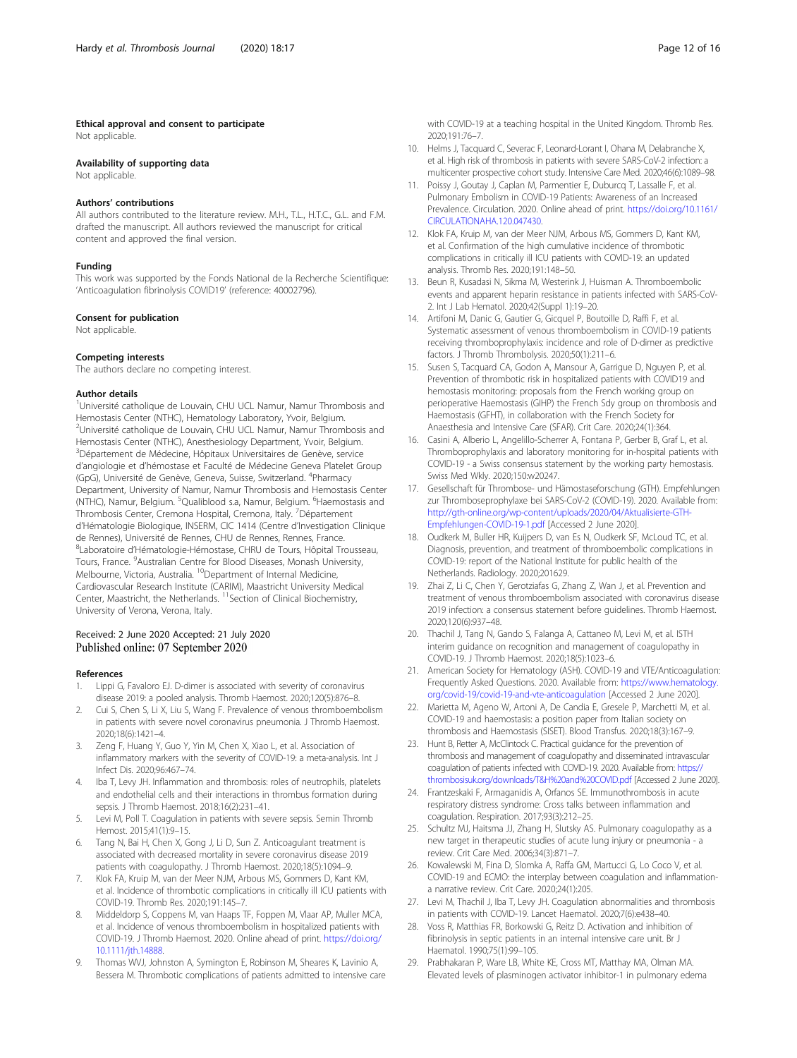### <span id="page-11-0"></span>Ethical approval and consent to participate

Not applicable.

#### Availability of supporting data

Not applicable.

# Authors' contributions

All authors contributed to the literature review. M.H., T.L., H.T.C., G.L. and F.M. drafted the manuscript. All authors reviewed the manuscript for critical content and approved the final version.

### Funding

This work was supported by the Fonds National de la Recherche Scientifique: 'Anticoagulation fibrinolysis COVID19' (reference: 40002796).

#### Consent for publication

Not applicable.

#### Competing interests

The authors declare no competing interest.

#### Author details

<sup>1</sup>Université catholique de Louvain, CHU UCL Namur, Namur Thrombosis and Hemostasis Center (NTHC), Hematology Laboratory, Yvoir, Belgium. 2 Université catholique de Louvain, CHU UCL Namur, Namur Thrombosis and Hemostasis Center (NTHC), Anesthesiology Department, Yvoir, Belgium. 3 Département de Médecine, Hôpitaux Universitaires de Genève, service d'angiologie et d'hémostase et Faculté de Médecine Geneva Platelet Group (GpG), Université de Genève, Geneva, Suisse, Switzerland. <sup>4</sup>Pharmacy Department, University of Namur, Namur Thrombosis and Hemostasis Center (NTHC), Namur, Belgium. <sup>5</sup>Qualiblood s.a, Namur, Belgium. <sup>6</sup>Haemostasis and Thrombosis Center, Cremona Hospital, Cremona, Italy. <sup>7</sup>Département d'Hématologie Biologique, INSERM, CIC 1414 (Centre d'Investigation Clinique de Rennes), Université de Rennes, CHU de Rennes, Rennes, France. 8 Laboratoire d'Hématologie-Hémostase, CHRU de Tours, Hôpital Trousseau, Tours, France. <sup>9</sup>Australian Centre for Blood Diseases, Monash University, Melbourne, Victoria, Australia. 10Department of Internal Medicine, Cardiovascular Research Institute (CARIM), Maastricht University Medical Center, Maastricht, the Netherlands. 11Section of Clinical Biochemistry, University of Verona, Verona, Italy.

# Received: 2 June 2020 Accepted: 21 July 2020 Published online: 07 September 2020

#### References

- 1. Lippi G, Favaloro EJ. D-dimer is associated with severity of coronavirus disease 2019: a pooled analysis. Thromb Haemost. 2020;120(5):876–8.
- 2. Cui S, Chen S, Li X, Liu S, Wang F. Prevalence of venous thromboembolism in patients with severe novel coronavirus pneumonia. J Thromb Haemost. 2020;18(6):1421–4.
- 3. Zeng F, Huang Y, Guo Y, Yin M, Chen X, Xiao L, et al. Association of inflammatory markers with the severity of COVID-19: a meta-analysis. Int J Infect Dis. 2020;96:467–74.
- 4. Iba T, Levy JH. Inflammation and thrombosis: roles of neutrophils, platelets and endothelial cells and their interactions in thrombus formation during sepsis. J Thromb Haemost. 2018;16(2):231–41.
- 5. Levi M, Poll T. Coagulation in patients with severe sepsis. Semin Thromb Hemost. 2015;41(1):9–15.
- 6. Tang N, Bai H, Chen X, Gong J, Li D, Sun Z. Anticoagulant treatment is associated with decreased mortality in severe coronavirus disease 2019 patients with coagulopathy. J Thromb Haemost. 2020;18(5):1094–9.
- 7. Klok FA, Kruip M, van der Meer NJM, Arbous MS, Gommers D, Kant KM, et al. Incidence of thrombotic complications in critically ill ICU patients with COVID-19. Thromb Res. 2020;191:145–7.
- 8. Middeldorp S, Coppens M, van Haaps TF, Foppen M, Vlaar AP, Muller MCA, et al. Incidence of venous thromboembolism in hospitalized patients with COVID-19. J Thromb Haemost. 2020. Online ahead of print. [https://doi.org/](https://doi.org/10.1111/jth.14888) [10.1111/jth.14888](https://doi.org/10.1111/jth.14888).
- Thomas WVJ, Johnston A, Symington E, Robinson M, Sheares K, Lavinio A, Bessera M. Thrombotic complications of patients admitted to intensive care

with COVID-19 at a teaching hospital in the United Kingdom. Thromb Res. 2020;191:76–7.

- 10. Helms J, Tacquard C, Severac F, Leonard-Lorant I, Ohana M, Delabranche X, et al. High risk of thrombosis in patients with severe SARS-CoV-2 infection: a multicenter prospective cohort study. Intensive Care Med. 2020;46(6):1089–98.
- 11. Poissy J, Goutay J, Caplan M, Parmentier E, Duburcq T, Lassalle F, et al. Pulmonary Embolism in COVID-19 Patients: Awareness of an Increased Prevalence. Circulation. 2020. Online ahead of print. [https://doi.org/10.1161/](https://doi.org/10.1161/CIRCULATIONAHA.120.047430) [CIRCULATIONAHA.120.047430](https://doi.org/10.1161/CIRCULATIONAHA.120.047430).
- 12. Klok FA, Kruip M, van der Meer NJM, Arbous MS, Gommers D, Kant KM, et al. Confirmation of the high cumulative incidence of thrombotic complications in critically ill ICU patients with COVID-19: an updated analysis. Thromb Res. 2020;191:148–50.
- 13. Beun R, Kusadasi N, Sikma M, Westerink J, Huisman A. Thromboembolic events and apparent heparin resistance in patients infected with SARS-CoV-2. Int J Lab Hematol. 2020;42(Suppl 1):19–20.
- 14. Artifoni M, Danic G, Gautier G, Gicquel P, Boutoille D, Raffi F, et al. Systematic assessment of venous thromboembolism in COVID-19 patients receiving thromboprophylaxis: incidence and role of D-dimer as predictive factors. J Thromb Thrombolysis. 2020;50(1):211–6.
- 15. Susen S, Tacquard CA, Godon A, Mansour A, Garrigue D, Nguyen P, et al. Prevention of thrombotic risk in hospitalized patients with COVID19 and hemostasis monitoring: proposals from the French working group on perioperative Haemostasis (GIHP) the French Sdy group on thrombosis and Haemostasis (GFHT), in collaboration with the French Society for Anaesthesia and Intensive Care (SFAR). Crit Care. 2020;24(1):364.
- 16. Casini A, Alberio L, Angelillo-Scherrer A, Fontana P, Gerber B, Graf L, et al. Thromboprophylaxis and laboratory monitoring for in-hospital patients with COVID-19 - a Swiss consensus statement by the working party hemostasis. Swiss Med Wkly. 2020;150:w20247.
- 17. Gesellschaft für Thrombose- und Hämostaseforschung (GTH). Empfehlungen zur Thromboseprophylaxe bei SARS-CoV-2 (COVID-19). 2020. Available from: [http://gth-online.org/wp-content/uploads/2020/04/Aktualisierte-GTH-](http://gth-online.org/wp-content/uploads/2020/04/Aktualisierte-GTH-Empfehlungen-COVID-19-1.pdf)[Empfehlungen-COVID-19-1.pdf](http://gth-online.org/wp-content/uploads/2020/04/Aktualisierte-GTH-Empfehlungen-COVID-19-1.pdf) [Accessed 2 June 2020].
- 18. Oudkerk M, Buller HR, Kuijpers D, van Es N, Oudkerk SF, McLoud TC, et al. Diagnosis, prevention, and treatment of thromboembolic complications in COVID-19: report of the National Institute for public health of the Netherlands. Radiology. 2020;201629.
- 19. Zhai Z, Li C, Chen Y, Gerotziafas G, Zhang Z, Wan J, et al. Prevention and treatment of venous thromboembolism associated with coronavirus disease 2019 infection: a consensus statement before guidelines. Thromb Haemost. 2020;120(6):937–48.
- 20. Thachil J, Tang N, Gando S, Falanga A, Cattaneo M, Levi M, et al. ISTH interim guidance on recognition and management of coagulopathy in COVID-19. J Thromb Haemost. 2020;18(5):1023–6.
- 21. American Society for Hematology (ASH). COVID-19 and VTE/Anticoagulation: Frequently Asked Questions. 2020. Available from: [https://www.hematology.](https://www.hematology.org/covid-19/covid-19-and-vte-anticoagulation) [org/covid-19/covid-19-and-vte-anticoagulation](https://www.hematology.org/covid-19/covid-19-and-vte-anticoagulation) [Accessed 2 June 2020].
- 22. Marietta M, Ageno W, Artoni A, De Candia E, Gresele P, Marchetti M, et al. COVID-19 and haemostasis: a position paper from Italian society on thrombosis and Haemostasis (SISET). Blood Transfus. 2020;18(3):167–9.
- 23. Hunt B, Retter A, McClintock C. Practical guidance for the prevention of thrombosis and management of coagulopathy and disseminated intravascular coagulation of patients infected with COVID-19. 2020. Available from: [https://](https://thrombosisuk.org/downloads/T&H%20and%20COVID.pdf) [thrombosisuk.org/downloads/T&H%20and%20COVID.pdf](https://thrombosisuk.org/downloads/T&H%20and%20COVID.pdf) [Accessed 2 June 2020].
- 24. Frantzeskaki F, Armaganidis A, Orfanos SE. Immunothrombosis in acute respiratory distress syndrome: Cross talks between inflammation and coagulation. Respiration. 2017;93(3):212–25.
- 25. Schultz MJ, Haitsma JJ, Zhang H, Slutsky AS. Pulmonary coagulopathy as a new target in therapeutic studies of acute lung injury or pneumonia - a review. Crit Care Med. 2006;34(3):871–7.
- 26. Kowalewski M, Fina D, Slomka A, Raffa GM, Martucci G, Lo Coco V, et al. COVID-19 and ECMO: the interplay between coagulation and inflammationa narrative review. Crit Care. 2020;24(1):205.
- 27. Levi M, Thachil J, Iba T, Levy JH. Coagulation abnormalities and thrombosis in patients with COVID-19. Lancet Haematol. 2020;7(6):e438–40.
- 28. Voss R, Matthias FR, Borkowski G, Reitz D. Activation and inhibition of fibrinolysis in septic patients in an internal intensive care unit. Br J Haematol. 1990;75(1):99–105.
- 29. Prabhakaran P, Ware LB, White KE, Cross MT, Matthay MA, Olman MA. Elevated levels of plasminogen activator inhibitor-1 in pulmonary edema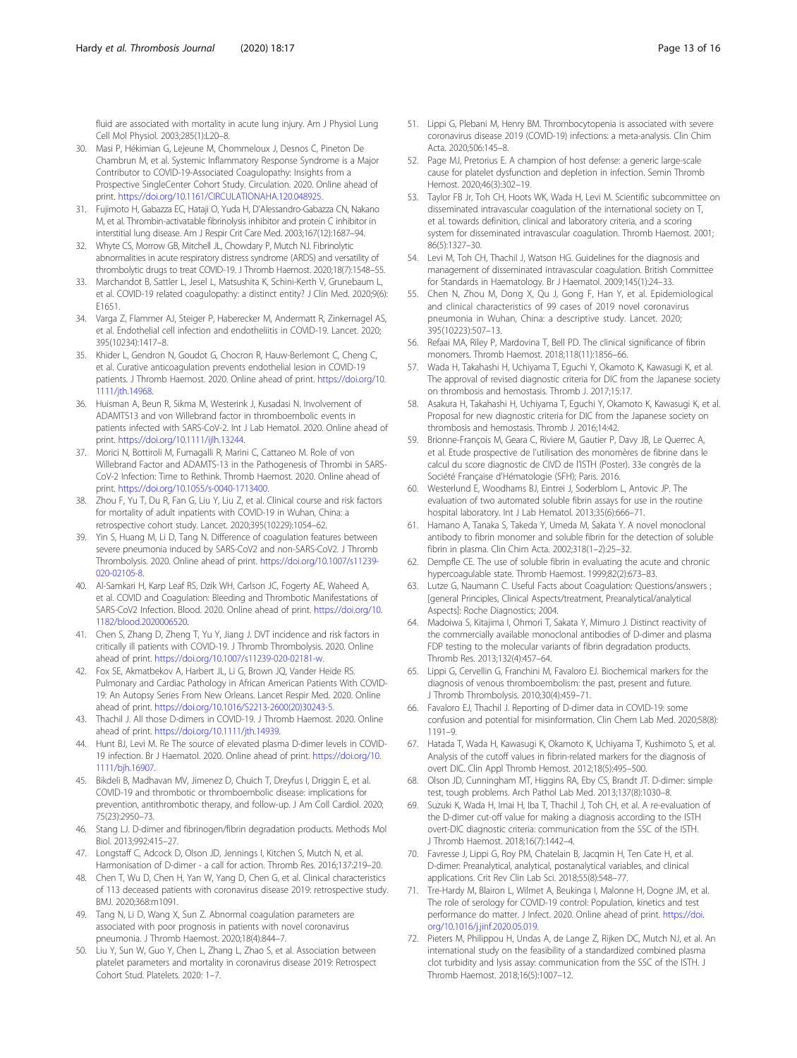<span id="page-12-0"></span>fluid are associated with mortality in acute lung injury. Am J Physiol Lung Cell Mol Physiol. 2003;285(1):L20–8.

- 30. Masi P, Hékimian G, Lejeune M, Chommeloux J, Desnos C, Pineton De Chambrun M, et al. Systemic Inflammatory Response Syndrome is a Major Contributor to COVID-19-Associated Coagulopathy: Insights from a Prospective SingleCenter Cohort Study. Circulation. 2020. Online ahead of print. <https://doi.org/10.1161/CIRCULATIONAHA.120.048925>.
- 31. Fujimoto H, Gabazza EC, Hataji O, Yuda H, D'Alessandro-Gabazza CN, Nakano M, et al. Thrombin-activatable fibrinolysis inhibitor and protein C inhibitor in interstitial lung disease. Am J Respir Crit Care Med. 2003;167(12):1687–94.
- 32. Whyte CS, Morrow GB, Mitchell JL, Chowdary P, Mutch NJ. Fibrinolytic abnormalities in acute respiratory distress syndrome (ARDS) and versatility of thrombolytic drugs to treat COVID-19. J Thromb Haemost. 2020;18(7):1548–55.
- 33. Marchandot B, Sattler L, Jesel L, Matsushita K, Schini-Kerth V, Grunebaum L, et al. COVID-19 related coagulopathy: a distinct entity? J Clin Med. 2020;9(6): E1651.
- 34. Varga Z, Flammer AJ, Steiger P, Haberecker M, Andermatt R, Zinkernagel AS, et al. Endothelial cell infection and endotheliitis in COVID-19. Lancet. 2020; 395(10234):1417–8.
- 35. Khider L, Gendron N, Goudot G, Chocron R, Hauw-Berlemont C, Cheng C, et al. Curative anticoagulation prevents endothelial lesion in COVID-19 patients. J Thromb Haemost. 2020. Online ahead of print. [https://doi.org/10.](https://doi.org/10.1111/jth.14968) [1111/jth.14968](https://doi.org/10.1111/jth.14968).
- 36. Huisman A, Beun R, Sikma M, Westerink J, Kusadasi N. Involvement of ADAMTS13 and von Willebrand factor in thromboembolic events in patients infected with SARS-CoV-2. Int J Lab Hematol. 2020. Online ahead of print. <https://doi.org/10.1111/ijlh.13244>.
- 37. Morici N, Bottiroli M, Fumagalli R, Marini C, Cattaneo M. Role of von Willebrand Factor and ADAMTS-13 in the Pathogenesis of Thrombi in SARS-CoV-2 Infection: Time to Rethink. Thromb Haemost. 2020. Online ahead of print. [https://doi.org/10.1055/s-0040-1713400.](https://doi.org/10.1055/s-0040-1713400)
- 38. Zhou F, Yu T, Du R, Fan G, Liu Y, Liu Z, et al. Clinical course and risk factors for mortality of adult inpatients with COVID-19 in Wuhan, China: a retrospective cohort study. Lancet. 2020;395(10229):1054–62.
- 39. Yin S, Huang M, Li D, Tang N. Difference of coagulation features between severe pneumonia induced by SARS-CoV2 and non-SARS-CoV2. J Thromb Thrombolysis. 2020. Online ahead of print. [https://doi.org/10.1007/s11239-](https://doi.org/10.1007/s11239-020-02105-8) [020-02105-8.](https://doi.org/10.1007/s11239-020-02105-8)
- 40. Al-Samkari H, Karp Leaf RS, Dzik WH, Carlson JC, Fogerty AE, Waheed A, et al. COVID and Coagulation: Bleeding and Thrombotic Manifestations of SARS-CoV2 Infection. Blood. 2020. Online ahead of print. [https://doi.org/10.](https://doi.org/10.1182/blood.2020006520) [1182/blood.2020006520.](https://doi.org/10.1182/blood.2020006520)
- 41. Chen S, Zhang D, Zheng T, Yu Y, Jiang J. DVT incidence and risk factors in critically ill patients with COVID-19. J Thromb Thrombolysis. 2020. Online ahead of print. <https://doi.org/10.1007/s11239-020-02181-w>.
- 42. Fox SE, Akmatbekov A, Harbert JL, Li G, Brown JQ, Vander Heide RS. Pulmonary and Cardiac Pathology in African American Patients With COVID-19: An Autopsy Series From New Orleans. Lancet Respir Med. 2020. Online ahead of print. [https://doi.org/10.1016/S2213-2600\(20\)30243-5.](https://doi.org/10.1016/S2213-2600(20)30243-5)
- 43. Thachil J. All those D-dimers in COVID-19. J Thromb Haemost. 2020. Online ahead of print. [https://doi.org/10.1111/jth.14939.](https://doi.org/10.1111/jth.14939)
- 44. Hunt BJ, Levi M. Re The source of elevated plasma D-dimer levels in COVID-19 infection. Br J Haematol. 2020. Online ahead of print. [https://doi.org/10.](https://doi.org/10.1111/bjh.16907) [1111/bjh.16907](https://doi.org/10.1111/bjh.16907).
- 45. Bikdeli B, Madhavan MV, Jimenez D, Chuich T, Dreyfus I, Driggin E, et al. COVID-19 and thrombotic or thromboembolic disease: implications for prevention, antithrombotic therapy, and follow-up. J Am Coll Cardiol. 2020; 75(23):2950–73.
- 46. Stang LJ. D-dimer and fibrinogen/fibrin degradation products. Methods Mol Biol. 2013;992:415–27.
- Longstaff C, Adcock D, Olson JD, Jennings I, Kitchen S, Mutch N, et al. Harmonisation of D-dimer - a call for action. Thromb Res. 2016;137:219–20.
- 48. Chen T, Wu D, Chen H, Yan W, Yang D, Chen G, et al. Clinical characteristics of 113 deceased patients with coronavirus disease 2019: retrospective study. BMJ. 2020;368:m1091.
- 49. Tang N, Li D, Wang X, Sun Z. Abnormal coagulation parameters are associated with poor prognosis in patients with novel coronavirus pneumonia. J Thromb Haemost. 2020;18(4):844–7.
- 50. Liu Y, Sun W, Guo Y, Chen L, Zhang L, Zhao S, et al. Association between platelet parameters and mortality in coronavirus disease 2019: Retrospect Cohort Stud. Platelets. 2020: 1–7.
- 51. Lippi G, Plebani M, Henry BM. Thrombocytopenia is associated with severe coronavirus disease 2019 (COVID-19) infections: a meta-analysis. Clin Chim Acta. 2020;506:145–8.
- 52. Page MJ, Pretorius E. A champion of host defense: a generic large-scale cause for platelet dysfunction and depletion in infection. Semin Thromb Hemost. 2020;46(3):302–19.
- 53. Taylor FB Jr, Toh CH, Hoots WK, Wada H, Levi M. Scientific subcommittee on disseminated intravascular coagulation of the international society on T, et al. towards definition, clinical and laboratory criteria, and a scoring system for disseminated intravascular coagulation. Thromb Haemost. 2001; 86(5):1327–30.
- 54. Levi M, Toh CH, Thachil J, Watson HG. Guidelines for the diagnosis and management of disseminated intravascular coagulation. British Committee for Standards in Haematology. Br J Haematol. 2009;145(1):24–33.
- 55. Chen N, Zhou M, Dong X, Qu J, Gong F, Han Y, et al. Epidemiological and clinical characteristics of 99 cases of 2019 novel coronavirus pneumonia in Wuhan, China: a descriptive study. Lancet. 2020; 395(10223):507–13.
- 56. Refaai MA, Riley P, Mardovina T, Bell PD. The clinical significance of fibrin monomers. Thromb Haemost. 2018;118(11):1856–66.
- 57. Wada H, Takahashi H, Uchiyama T, Eguchi Y, Okamoto K, Kawasugi K, et al. The approval of revised diagnostic criteria for DIC from the Japanese society on thrombosis and hemostasis. Thromb J. 2017;15:17.
- 58. Asakura H, Takahashi H, Uchiyama T, Eguchi Y, Okamoto K, Kawasugi K, et al. Proposal for new diagnostic criteria for DIC from the Japanese society on thrombosis and hemostasis. Thromb J. 2016;14:42.
- 59. Brionne-François M, Geara C, Riviere M, Gautier P, Davy JB, Le Querrec A, et al. Etude prospective de l'utilisation des monomères de fibrine dans le calcul du score diagnostic de CIVD de l'ISTH (Poster). 33e congrès de la Société Française d'Hématologie (SFH); Paris. 2016.
- 60. Westerlund E, Woodhams BJ, Eintrei J, Soderblom L, Antovic JP. The evaluation of two automated soluble fibrin assays for use in the routine hospital laboratory. Int J Lab Hematol. 2013;35(6):666–71.
- 61. Hamano A, Tanaka S, Takeda Y, Umeda M, Sakata Y. A novel monoclonal antibody to fibrin monomer and soluble fibrin for the detection of soluble fibrin in plasma. Clin Chim Acta. 2002;318(1–2):25–32.
- 62. Dempfle CE. The use of soluble fibrin in evaluating the acute and chronic hypercoagulable state. Thromb Haemost. 1999;82(2):673–83.
- 63. Lutze G, Naumann C. Useful Facts about Coagulation: Questions/answers ; [general Principles, Clinical Aspects/treatment, Preanalytical/analytical Aspects]: Roche Diagnostics; 2004.
- 64. Madoiwa S, Kitajima I, Ohmori T, Sakata Y, Mimuro J. Distinct reactivity of the commercially available monoclonal antibodies of D-dimer and plasma FDP testing to the molecular variants of fibrin degradation products. Thromb Res. 2013;132(4):457–64.
- 65. Lippi G, Cervellin G, Franchini M, Favaloro EJ. Biochemical markers for the diagnosis of venous thromboembolism: the past, present and future. J Thromb Thrombolysis. 2010;30(4):459–71.
- 66. Favaloro EJ, Thachil J. Reporting of D-dimer data in COVID-19: some confusion and potential for misinformation. Clin Chem Lab Med. 2020;58(8): 1191–9.
- 67. Hatada T, Wada H, Kawasugi K, Okamoto K, Uchiyama T, Kushimoto S, et al. Analysis of the cutoff values in fibrin-related markers for the diagnosis of overt DIC. Clin Appl Thromb Hemost. 2012;18(5):495–500.
- 68. Olson JD, Cunningham MT, Higgins RA, Eby CS, Brandt JT. D-dimer: simple test, tough problems. Arch Pathol Lab Med. 2013;137(8):1030–8.
- 69. Suzuki K, Wada H, Imai H, Iba T, Thachil J, Toh CH, et al. A re-evaluation of the D-dimer cut-off value for making a diagnosis according to the ISTH overt-DIC diagnostic criteria: communication from the SSC of the ISTH. J Thromb Haemost. 2018;16(7):1442–4.
- 70. Favresse J, Lippi G, Roy PM, Chatelain B, Jacqmin H, Ten Cate H, et al. D-dimer: Preanalytical, analytical, postanalytical variables, and clinical applications. Crit Rev Clin Lab Sci. 2018;55(8):548–77.
- 71. Tre-Hardy M, Blairon L, Wilmet A, Beukinga I, Malonne H, Dogne JM, et al. The role of serology for COVID-19 control: Population, kinetics and test performance do matter. J Infect. 2020. Online ahead of print. [https://doi.](https://doi.org/10.1016/j.jinf.2020.05.019) [org/10.1016/j.jinf.2020.05.019.](https://doi.org/10.1016/j.jinf.2020.05.019)
- 72. Pieters M, Philippou H, Undas A, de Lange Z, Rijken DC, Mutch NJ, et al. An international study on the feasibility of a standardized combined plasma clot turbidity and lysis assay: communication from the SSC of the ISTH. J Thromb Haemost. 2018;16(5):1007–12.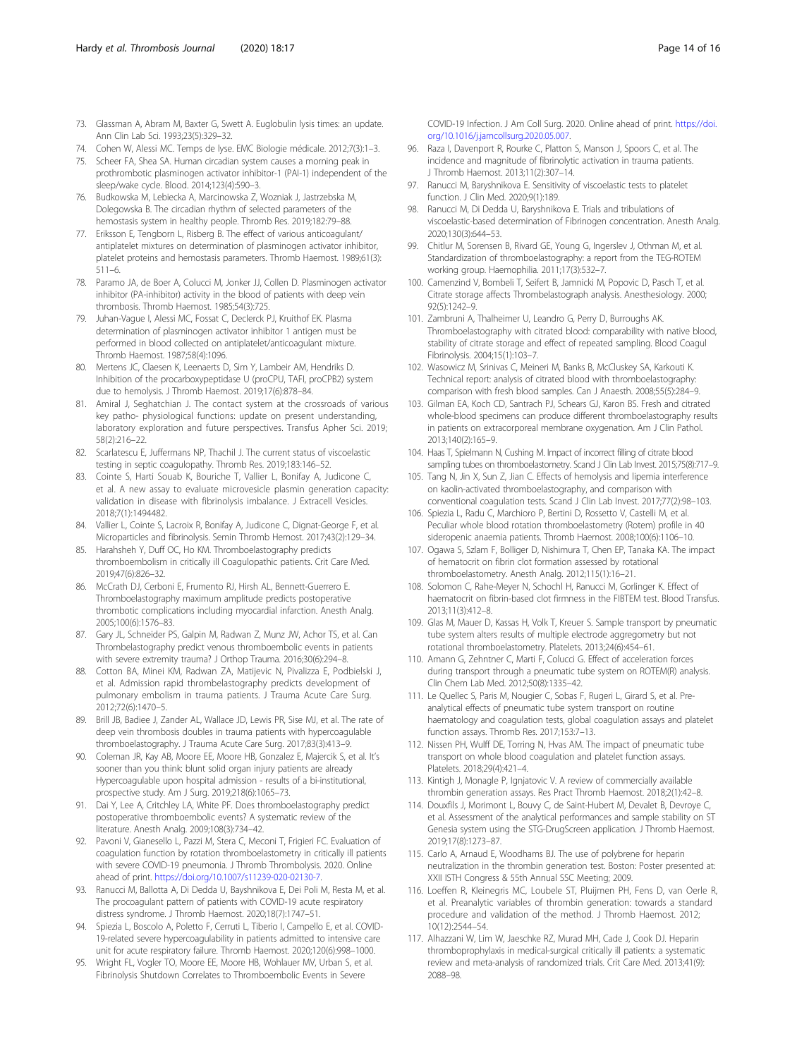- <span id="page-13-0"></span>73. Glassman A, Abram M, Baxter G, Swett A. Euglobulin lysis times: an update. Ann Clin Lab Sci. 1993;23(5):329–32.
- 74. Cohen W, Alessi MC. Temps de lyse. EMC Biologie médicale. 2012;7(3):1–3.
- 75. Scheer FA, Shea SA. Human circadian system causes a morning peak in prothrombotic plasminogen activator inhibitor-1 (PAI-1) independent of the sleep/wake cycle. Blood. 2014;123(4):590–3.
- 76. Budkowska M, Lebiecka A, Marcinowska Z, Wozniak J, Jastrzebska M, Dolegowska B. The circadian rhythm of selected parameters of the hemostasis system in healthy people. Thromb Res. 2019;182:79–88.
- 77. Eriksson E, Tengborn L, Risberg B. The effect of various anticoagulant/ antiplatelet mixtures on determination of plasminogen activator inhibitor, platelet proteins and hemostasis parameters. Thromb Haemost. 1989;61(3): 511–6.
- 78. Paramo JA, de Boer A, Colucci M, Jonker JJ, Collen D. Plasminogen activator inhibitor (PA-inhibitor) activity in the blood of patients with deep vein thrombosis. Thromb Haemost. 1985;54(3):725.
- 79. Juhan-Vague I, Alessi MC, Fossat C, Declerck PJ, Kruithof EK. Plasma determination of plasminogen activator inhibitor 1 antigen must be performed in blood collected on antiplatelet/anticoagulant mixture. Thromb Haemost. 1987;58(4):1096.
- 80. Mertens JC, Claesen K, Leenaerts D, Sim Y, Lambeir AM, Hendriks D. Inhibition of the procarboxypeptidase U (proCPU, TAFI, proCPB2) system due to hemolysis. J Thromb Haemost. 2019;17(6):878–84.
- 81. Amiral J, Seghatchian J. The contact system at the crossroads of various key patho- physiological functions: update on present understanding, laboratory exploration and future perspectives. Transfus Apher Sci. 2019; 58(2):216–22.
- 82. Scarlatescu E, Juffermans NP, Thachil J. The current status of viscoelastic testing in septic coagulopathy. Thromb Res. 2019;183:146–52.
- 83. Cointe S, Harti Souab K, Bouriche T, Vallier L, Bonifay A, Judicone C, et al. A new assay to evaluate microvesicle plasmin generation capacity: validation in disease with fibrinolysis imbalance. J Extracell Vesicles. 2018;7(1):1494482.
- 84. Vallier L, Cointe S, Lacroix R, Bonifay A, Judicone C, Dignat-George F, et al. Microparticles and fibrinolysis. Semin Thromb Hemost. 2017;43(2):129–34.
- 85. Harahsheh Y, Duff OC, Ho KM. Thromboelastography predicts thromboembolism in critically ill Coagulopathic patients. Crit Care Med. 2019;47(6):826–32.
- 86. McCrath DJ, Cerboni E, Frumento RJ, Hirsh AL, Bennett-Guerrero E. Thromboelastography maximum amplitude predicts postoperative thrombotic complications including myocardial infarction. Anesth Analg. 2005;100(6):1576–83.
- 87. Gary JL, Schneider PS, Galpin M, Radwan Z, Munz JW, Achor TS, et al. Can Thrombelastography predict venous thromboembolic events in patients with severe extremity trauma? J Orthop Trauma. 2016;30(6):294–8.
- 88. Cotton BA, Minei KM, Radwan ZA, Matijevic N, Pivalizza E, Podbielski J, et al. Admission rapid thrombelastography predicts development of pulmonary embolism in trauma patients. J Trauma Acute Care Surg. 2012;72(6):1470–5.
- 89. Brill JB, Badiee J, Zander AL, Wallace JD, Lewis PR, Sise MJ, et al. The rate of deep vein thrombosis doubles in trauma patients with hypercoagulable thromboelastography. J Trauma Acute Care Surg. 2017;83(3):413–9.
- 90. Coleman JR, Kay AB, Moore EE, Moore HB, Gonzalez E, Majercik S, et al. It's sooner than you think: blunt solid organ injury patients are already Hypercoagulable upon hospital admission - results of a bi-institutional, prospective study. Am J Surg. 2019;218(6):1065–73.
- 91. Dai Y, Lee A, Critchley LA, White PF. Does thromboelastography predict postoperative thromboembolic events? A systematic review of the literature. Anesth Analg. 2009;108(3):734–42.
- 92. Pavoni V, Gianesello L, Pazzi M, Stera C, Meconi T, Frigieri FC. Evaluation of coagulation function by rotation thromboelastometry in critically ill patients with severe COVID-19 pneumonia. J Thromb Thrombolysis, 2020. Online ahead of print. [https://doi.org/10.1007/s11239-020-02130-7.](https://doi.org/10.1007/s11239-020-02130-7)
- 93. Ranucci M, Ballotta A, Di Dedda U, Bayshnikova E, Dei Poli M, Resta M, et al. The procoagulant pattern of patients with COVID-19 acute respiratory distress syndrome. J Thromb Haemost. 2020;18(7):1747–51.
- 94. Spiezia L, Boscolo A, Poletto F, Cerruti L, Tiberio I, Campello E, et al. COVID-19-related severe hypercoagulability in patients admitted to intensive care unit for acute respiratory failure. Thromb Haemost. 2020;120(6):998–1000.
- 95. Wright FL, Vogler TO, Moore EE, Moore HB, Wohlauer MV, Urban S, et al. Fibrinolysis Shutdown Correlates to Thromboembolic Events in Severe

COVID-19 Infection. J Am Coll Surg. 2020. Online ahead of print. [https://doi.](https://doi.org/10.1016/j.jamcollsurg.2020.05.007) [org/10.1016/j.jamcollsurg.2020.05.007.](https://doi.org/10.1016/j.jamcollsurg.2020.05.007)

- 96. Raza I, Davenport R, Rourke C, Platton S, Manson J, Spoors C, et al. The incidence and magnitude of fibrinolytic activation in trauma patients. J Thromb Haemost. 2013;11(2):307–14.
- 97. Ranucci M, Baryshnikova E. Sensitivity of viscoelastic tests to platelet function. J Clin Med. 2020;9(1):189.
- 98. Ranucci M, Di Dedda U, Baryshnikova E. Trials and tribulations of viscoelastic-based determination of Fibrinogen concentration. Anesth Analg. 2020;130(3):644–53.
- 99. Chitlur M, Sorensen B, Rivard GE, Young G, Ingerslev J, Othman M, et al. Standardization of thromboelastography: a report from the TEG-ROTEM working group. Haemophilia. 2011;17(3):532–7.
- 100. Camenzind V, Bombeli T, Seifert B, Jamnicki M, Popovic D, Pasch T, et al. Citrate storage affects Thrombelastograph analysis. Anesthesiology. 2000; 92(5):1242–9.
- 101. Zambruni A, Thalheimer U, Leandro G, Perry D, Burroughs AK. Thromboelastography with citrated blood: comparability with native blood, stability of citrate storage and effect of repeated sampling. Blood Coagul Fibrinolysis. 2004;15(1):103–7.
- 102. Wasowicz M, Srinivas C, Meineri M, Banks B, McCluskey SA, Karkouti K. Technical report: analysis of citrated blood with thromboelastography: comparison with fresh blood samples. Can J Anaesth. 2008;55(5):284–9.
- 103. Gilman EA, Koch CD, Santrach PJ, Schears GJ, Karon BS. Fresh and citrated whole-blood specimens can produce different thromboelastography results in patients on extracorporeal membrane oxygenation. Am J Clin Pathol. 2013;140(2):165–9.
- 104. Haas T, Spielmann N, Cushing M. Impact of incorrect filling of citrate blood sampling tubes on thromboelastometry. Scand J Clin Lab Invest. 2015;75(8):717-9.
- 105. Tang N, Jin X, Sun Z, Jian C. Effects of hemolysis and lipemia interference on kaolin-activated thromboelastography, and comparison with conventional coagulation tests. Scand J Clin Lab Invest. 2017;77(2):98–103.
- 106. Spiezia L, Radu C, Marchioro P, Bertini D, Rossetto V, Castelli M, et al. Peculiar whole blood rotation thromboelastometry (Rotem) profile in 40 sideropenic anaemia patients. Thromb Haemost. 2008;100(6):1106–10.
- 107. Ogawa S, Szlam F, Bolliger D, Nishimura T, Chen EP, Tanaka KA. The impact of hematocrit on fibrin clot formation assessed by rotational thromboelastometry. Anesth Analg. 2012;115(1):16–21.
- 108. Solomon C, Rahe-Meyer N, Schochl H, Ranucci M, Gorlinger K. Effect of haematocrit on fibrin-based clot firmness in the FIBTEM test. Blood Transfus. 2013;11(3):412–8.
- 109. Glas M, Mauer D, Kassas H, Volk T, Kreuer S. Sample transport by pneumatic tube system alters results of multiple electrode aggregometry but not rotational thromboelastometry. Platelets. 2013;24(6):454–61.
- 110. Amann G, Zehntner C, Marti F, Colucci G. Effect of acceleration forces during transport through a pneumatic tube system on ROTEM(R) analysis. Clin Chem Lab Med. 2012;50(8):1335–42.
- 111. Le Quellec S, Paris M, Nougier C, Sobas F, Rugeri L, Girard S, et al. Preanalytical effects of pneumatic tube system transport on routine haematology and coagulation tests, global coagulation assays and platelet function assays. Thromb Res. 2017;153:7–13.
- 112. Nissen PH, Wulff DE, Torring N, Hvas AM. The impact of pneumatic tube transport on whole blood coagulation and platelet function assays. Platelets. 2018;29(4):421–4.
- 113. Kintigh J, Monagle P, Ignjatovic V. A review of commercially available thrombin generation assays. Res Pract Thromb Haemost. 2018;2(1):42–8.
- 114. Douxfils J, Morimont L, Bouvy C, de Saint-Hubert M, Devalet B, Devroye C, et al. Assessment of the analytical performances and sample stability on ST Genesia system using the STG-DrugScreen application. J Thromb Haemost. 2019;17(8):1273–87.
- 115. Carlo A, Arnaud E, Woodhams BJ. The use of polybrene for heparin neutralization in the thrombin generation test. Boston: Poster presented at: XXII ISTH Congress & 55th Annual SSC Meeting; 2009.
- 116. Loeffen R, Kleinegris MC, Loubele ST, Pluijmen PH, Fens D, van Oerle R, et al. Preanalytic variables of thrombin generation: towards a standard procedure and validation of the method. J Thromb Haemost. 2012; 10(12):2544–54.
- 117. Alhazzani W, Lim W, Jaeschke RZ, Murad MH, Cade J, Cook DJ. Heparin thromboprophylaxis in medical-surgical critically ill patients: a systematic review and meta-analysis of randomized trials. Crit Care Med. 2013;41(9): 2088–98.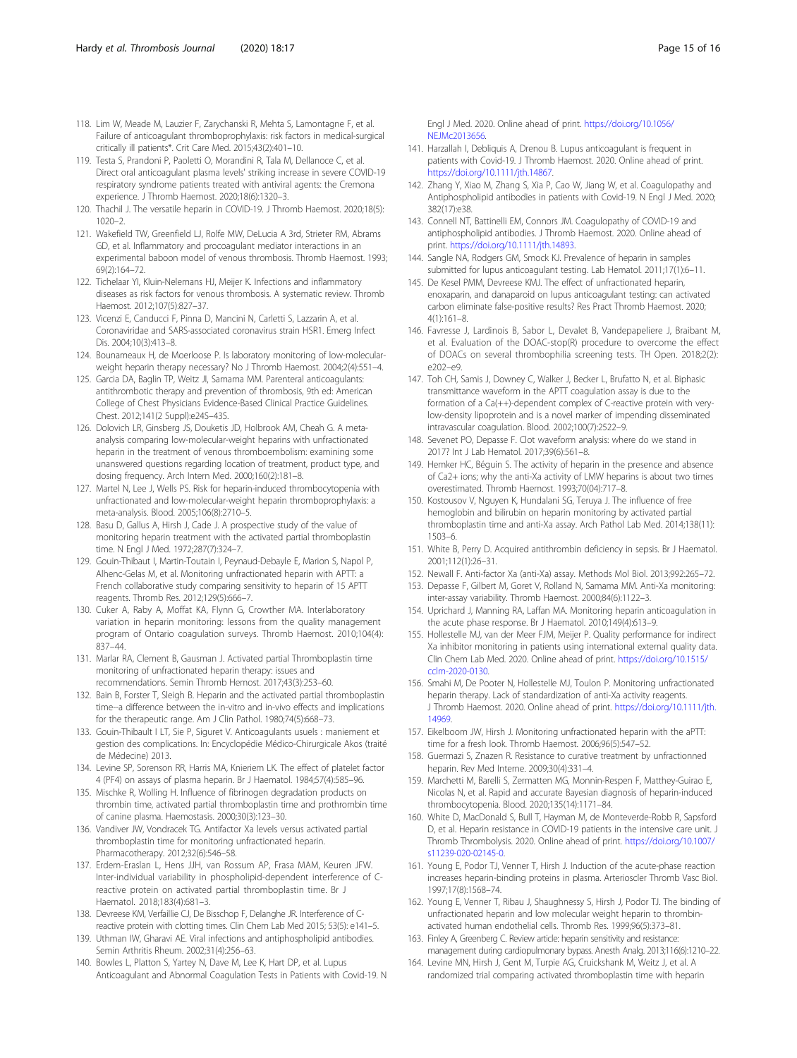- <span id="page-14-0"></span>118. Lim W, Meade M, Lauzier F, Zarychanski R, Mehta S, Lamontagne F, et al. Failure of anticoagulant thromboprophylaxis: risk factors in medical-surgical critically ill patients\*. Crit Care Med. 2015;43(2):401–10.
- 119. Testa S, Prandoni P, Paoletti O, Morandini R, Tala M, Dellanoce C, et al. Direct oral anticoagulant plasma levels' striking increase in severe COVID-19 respiratory syndrome patients treated with antiviral agents: the Cremona experience. J Thromb Haemost. 2020;18(6):1320–3.
- 120. Thachil J. The versatile heparin in COVID-19. J Thromb Haemost. 2020;18(5): 1020–2.
- 121. Wakefield TW, Greenfield LJ, Rolfe MW, DeLucia A 3rd, Strieter RM, Abrams GD, et al. Inflammatory and procoagulant mediator interactions in an experimental baboon model of venous thrombosis. Thromb Haemost. 1993; 69(2):164–72.
- 122. Tichelaar YI, Kluin-Nelemans HJ, Meijer K. Infections and inflammatory diseases as risk factors for venous thrombosis. A systematic review. Thromb Haemost. 2012;107(5):827–37.
- 123. Vicenzi E, Canducci F, Pinna D, Mancini N, Carletti S, Lazzarin A, et al. Coronaviridae and SARS-associated coronavirus strain HSR1. Emerg Infect Dis. 2004;10(3):413–8.
- 124. Bounameaux H, de Moerloose P. Is laboratory monitoring of low-molecularweight heparin therapy necessary? No J Thromb Haemost. 2004;2(4):551–4.
- 125. Garcia DA, Baglin TP, Weitz JI, Samama MM. Parenteral anticoagulants: antithrombotic therapy and prevention of thrombosis, 9th ed: American College of Chest Physicians Evidence-Based Clinical Practice Guidelines. Chest. 2012;141(2 Suppl):e24S–43S.
- 126. Dolovich LR, Ginsberg JS, Douketis JD, Holbrook AM, Cheah G. A metaanalysis comparing low-molecular-weight heparins with unfractionated heparin in the treatment of venous thromboembolism: examining some unanswered questions regarding location of treatment, product type, and dosing frequency. Arch Intern Med. 2000;160(2):181–8.
- 127. Martel N, Lee J, Wells PS. Risk for heparin-induced thrombocytopenia with unfractionated and low-molecular-weight heparin thromboprophylaxis: a meta-analysis. Blood. 2005;106(8):2710–5.
- 128. Basu D, Gallus A, Hirsh J, Cade J. A prospective study of the value of monitoring heparin treatment with the activated partial thromboplastin time. N Engl J Med. 1972;287(7):324–7.
- 129. Gouin-Thibaut I, Martin-Toutain I, Peynaud-Debayle E, Marion S, Napol P, Alhenc-Gelas M, et al. Monitoring unfractionated heparin with APTT: a French collaborative study comparing sensitivity to heparin of 15 APTT reagents. Thromb Res. 2012;129(5):666–7.
- 130. Cuker A, Raby A, Moffat KA, Flynn G, Crowther MA. Interlaboratory variation in heparin monitoring: lessons from the quality management program of Ontario coagulation surveys. Thromb Haemost. 2010;104(4): 837–44.
- 131. Marlar RA, Clement B, Gausman J. Activated partial Thromboplastin time monitoring of unfractionated heparin therapy: issues and recommendations. Semin Thromb Hemost. 2017;43(3):253–60.
- 132. Bain B, Forster T, Sleigh B. Heparin and the activated partial thromboplastin time--a difference between the in-vitro and in-vivo effects and implications for the therapeutic range. Am J Clin Pathol. 1980;74(5):668–73.
- 133. Gouin-Thibault I LT, Sie P, Siguret V. Anticoagulants usuels : maniement et gestion des complications. In: Encyclopédie Médico-Chirurgicale Akos (traité de Médecine) 2013.
- 134. Levine SP, Sorenson RR, Harris MA, Knieriem LK. The effect of platelet factor 4 (PF4) on assays of plasma heparin. Br J Haematol. 1984;57(4):585–96.
- 135. Mischke R, Wolling H. Influence of fibrinogen degradation products on thrombin time, activated partial thromboplastin time and prothrombin time of canine plasma. Haemostasis. 2000;30(3):123–30.
- 136. Vandiver JW, Vondracek TG. Antifactor Xa levels versus activated partial thromboplastin time for monitoring unfractionated heparin. Pharmacotherapy. 2012;32(6):546–58.
- 137. Erdem-Eraslan L, Hens JJH, van Rossum AP, Frasa MAM, Keuren JFW. Inter-individual variability in phospholipid-dependent interference of Creactive protein on activated partial thromboplastin time. Br J Haematol. 2018;183(4):681–3.
- 138. Devreese KM, Verfaillie CJ, De Bisschop F, Delanghe JR. Interference of Creactive protein with clotting times. Clin Chem Lab Med 2015; 53(5): e141–5.
- 139. Uthman IW, Gharavi AE. Viral infections and antiphospholipid antibodies. Semin Arthritis Rheum. 2002;31(4):256–63.
- 140. Bowles L, Platton S, Yartey N, Dave M, Lee K, Hart DP, et al. Lupus Anticoagulant and Abnormal Coagulation Tests in Patients with Covid-19. N

Engl J Med. 2020. Online ahead of print. [https://doi.org/10.1056/](https://doi.org/10.1056/NEJMc2013656) [NEJMc2013656](https://doi.org/10.1056/NEJMc2013656).

- 141. Harzallah I, Debliquis A, Drenou B. Lupus anticoagulant is frequent in patients with Covid-19. J Thromb Haemost. 2020. Online ahead of print. [https://doi.org/10.1111/jth.14867.](https://doi.org/10.1111/jth.14867)
- 142. Zhang Y, Xiao M, Zhang S, Xia P, Cao W, Jiang W, et al. Coagulopathy and Antiphospholipid antibodies in patients with Covid-19. N Engl J Med. 2020; 382(17):e38.
- 143. Connell NT, Battinelli EM, Connors JM. Coagulopathy of COVID-19 and antiphospholipid antibodies. J Thromb Haemost. 2020. Online ahead of print. <https://doi.org/10.1111/jth.14893>.
- 144. Sangle NA, Rodgers GM, Smock KJ. Prevalence of heparin in samples submitted for lupus anticoagulant testing. Lab Hematol. 2011;17(1):6–11.
- 145. De Kesel PMM, Devreese KMJ. The effect of unfractionated heparin, enoxaparin, and danaparoid on lupus anticoagulant testing: can activated carbon eliminate false-positive results? Res Pract Thromb Haemost. 2020;  $4(1):161-8$
- 146. Favresse J, Lardinois B, Sabor L, Devalet B, Vandepapeliere J, Braibant M, et al. Evaluation of the DOAC-stop(R) procedure to overcome the effect of DOACs on several thrombophilia screening tests. TH Open. 2018;2(2): e202–e9.
- 147. Toh CH, Samis J, Downey C, Walker J, Becker L, Brufatto N, et al. Biphasic transmittance waveform in the APTT coagulation assay is due to the formation of a Ca(++)-dependent complex of C-reactive protein with verylow-density lipoprotein and is a novel marker of impending disseminated intravascular coagulation. Blood. 2002;100(7):2522–9.
- 148. Sevenet PO, Depasse F. Clot waveform analysis: where do we stand in 2017? Int J Lab Hematol. 2017;39(6):561–8.
- 149. Hemker HC, Béguin S. The activity of heparin in the presence and absence of Ca2+ ions; why the anti-Xa activity of LMW heparins is about two times overestimated. Thromb Haemost. 1993;70(04):717–8.
- 150. Kostousov V, Nguyen K, Hundalani SG, Teruya J. The influence of free hemoglobin and bilirubin on heparin monitoring by activated partial thromboplastin time and anti-Xa assay. Arch Pathol Lab Med. 2014;138(11): 1503–6.
- 151. White B, Perry D. Acquired antithrombin deficiency in sepsis. Br J Haematol. 2001;112(1):26–31.
- 152. Newall F. Anti-factor Xa (anti-Xa) assay. Methods Mol Biol. 2013;992:265–72.
- 153. Depasse F, Gilbert M, Goret V, Rolland N, Samama MM. Anti-Xa monitoring: inter-assay variability. Thromb Haemost. 2000;84(6):1122–3.
- 154. Uprichard J, Manning RA, Laffan MA. Monitoring heparin anticoagulation in the acute phase response. Br J Haematol. 2010;149(4):613–9.
- 155. Hollestelle MJ, van der Meer FJM, Meijer P. Quality performance for indirect Xa inhibitor monitoring in patients using international external quality data. Clin Chem Lab Med. 2020. Online ahead of print. [https://doi.org/10.1515/](https://doi.org/10.1515/cclm-2020-0130) [cclm-2020-0130.](https://doi.org/10.1515/cclm-2020-0130)
- 156. Smahi M, De Pooter N, Hollestelle MJ, Toulon P. Monitoring unfractionated heparin therapy. Lack of standardization of anti-Xa activity reagents. J Thromb Haemost. 2020. Online ahead of print. [https://doi.org/10.1111/jth.](https://doi.org/10.1111/jth.14969) [14969.](https://doi.org/10.1111/jth.14969)
- 157. Eikelboom JW, Hirsh J. Monitoring unfractionated heparin with the aPTT: time for a fresh look. Thromb Haemost. 2006;96(5):547–52.
- 158. Guermazi S, Znazen R. Resistance to curative treatment by unfractionned heparin. Rev Med Interne. 2009;30(4):331–4.
- 159. Marchetti M, Barelli S, Zermatten MG, Monnin-Respen F, Matthey-Guirao E, Nicolas N, et al. Rapid and accurate Bayesian diagnosis of heparin-induced thrombocytopenia. Blood. 2020;135(14):1171–84.
- 160. White D, MacDonald S, Bull T, Hayman M, de Monteverde-Robb R, Sapsford D, et al. Heparin resistance in COVID-19 patients in the intensive care unit. J Thromb Thrombolysis. 2020. Online ahead of print. [https://doi.org/10.1007/](https://doi.org/10.1007/s11239-020-02145-0) [s11239-020-02145-0](https://doi.org/10.1007/s11239-020-02145-0).
- 161. Young E, Podor TJ, Venner T, Hirsh J. Induction of the acute-phase reaction increases heparin-binding proteins in plasma. Arterioscler Thromb Vasc Biol. 1997;17(8):1568–74.
- 162. Young E, Venner T, Ribau J, Shaughnessy S, Hirsh J, Podor TJ. The binding of unfractionated heparin and low molecular weight heparin to thrombinactivated human endothelial cells. Thromb Res. 1999;96(5):373–81.
- 163. Finley A, Greenberg C. Review article: heparin sensitivity and resistance: management during cardiopulmonary bypass. Anesth Analg. 2013;116(6):1210–22.
- 164. Levine MN, Hirsh J, Gent M, Turpie AG, Cruickshank M, Weitz J, et al. A randomized trial comparing activated thromboplastin time with heparin